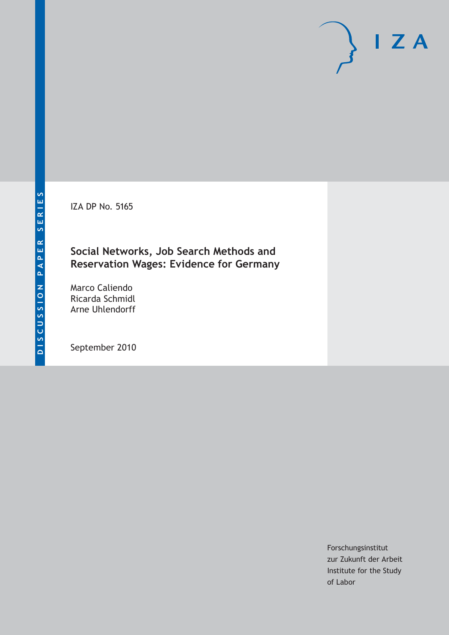IZA DP No. 5165

# **Social Networks, Job Search Methods and Reservation Wages: Evidence for Germany**

Marco Caliendo Ricarda Schmidl Arne Uhlendorff

September 2010

Forschungsinstitut zur Zukunft der Arbeit Institute for the Study of Labor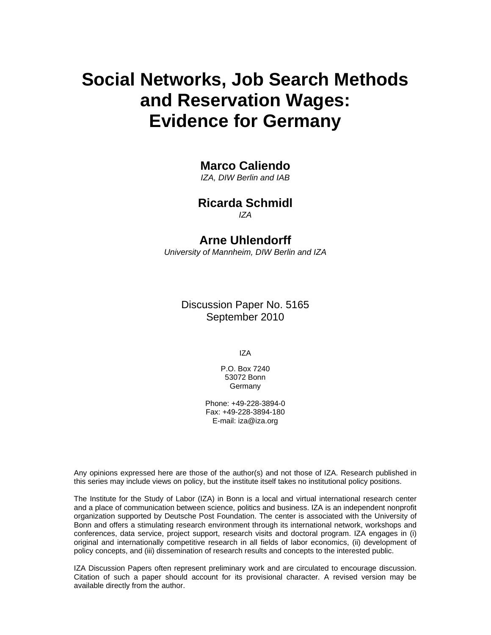# **Social Networks, Job Search Methods and Reservation Wages: Evidence for Germany**

# **Marco Caliendo**

*IZA, DIW Berlin and IAB* 

#### **Ricarda Schmidl**  *IZA*

# **Arne Uhlendorff**

*University of Mannheim, DIW Berlin and IZA* 

Discussion Paper No. 5165 September 2010

IZA

P.O. Box 7240 53072 Bonn Germany

Phone: +49-228-3894-0 Fax: +49-228-3894-180 E-mail: iza@iza.org

Any opinions expressed here are those of the author(s) and not those of IZA. Research published in this series may include views on policy, but the institute itself takes no institutional policy positions.

The Institute for the Study of Labor (IZA) in Bonn is a local and virtual international research center and a place of communication between science, politics and business. IZA is an independent nonprofit organization supported by Deutsche Post Foundation. The center is associated with the University of Bonn and offers a stimulating research environment through its international network, workshops and conferences, data service, project support, research visits and doctoral program. IZA engages in (i) original and internationally competitive research in all fields of labor economics, (ii) development of policy concepts, and (iii) dissemination of research results and concepts to the interested public.

IZA Discussion Papers often represent preliminary work and are circulated to encourage discussion. Citation of such a paper should account for its provisional character. A revised version may be available directly from the author.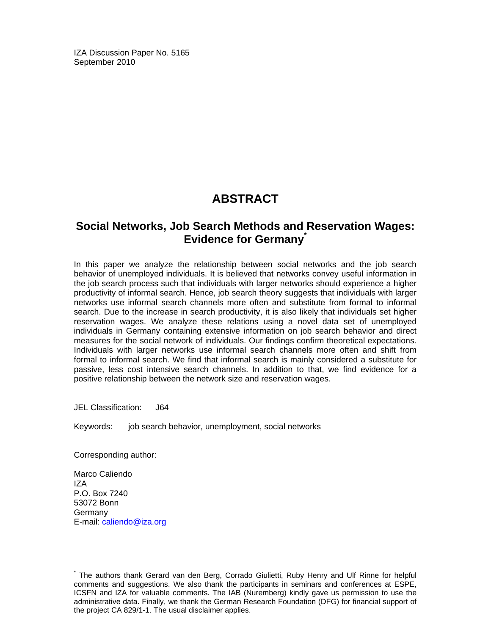IZA Discussion Paper No. 5165 September 2010

# **ABSTRACT**

# **Social Networks, Job Search Methods and Reservation Wages: Evidence for Germany\***

In this paper we analyze the relationship between social networks and the job search behavior of unemployed individuals. It is believed that networks convey useful information in the job search process such that individuals with larger networks should experience a higher productivity of informal search. Hence, job search theory suggests that individuals with larger networks use informal search channels more often and substitute from formal to informal search. Due to the increase in search productivity, it is also likely that individuals set higher reservation wages. We analyze these relations using a novel data set of unemployed individuals in Germany containing extensive information on job search behavior and direct measures for the social network of individuals. Our findings confirm theoretical expectations. Individuals with larger networks use informal search channels more often and shift from formal to informal search. We find that informal search is mainly considered a substitute for passive, less cost intensive search channels. In addition to that, we find evidence for a positive relationship between the network size and reservation wages.

JEL Classification: J64

Keywords: job search behavior, unemployment, social networks

Corresponding author:

Marco Caliendo IZA P.O. Box 7240 53072 Bonn Germany E-mail: caliendo@iza.org

-

<sup>\*</sup> The authors thank Gerard van den Berg, Corrado Giulietti, Ruby Henry and Ulf Rinne for helpful comments and suggestions. We also thank the participants in seminars and conferences at ESPE, ICSFN and IZA for valuable comments. The IAB (Nuremberg) kindly gave us permission to use the administrative data. Finally, we thank the German Research Foundation (DFG) for financial support of the project CA 829/1-1. The usual disclaimer applies.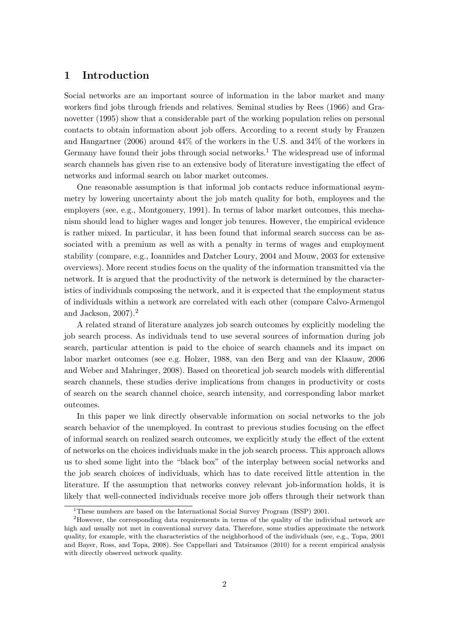### 1 Introduction

Social networks are an important source of information in the labor market and many workers find jobs through friends and relatives. Seminal studies by Rees (1966) and Granovetter (1995) show that a considerable part of the working population relies on personal contacts to obtain information about job offers. According to a recent study by Franzen and Hangartner (2006) around 44% of the workers in the U.S. and 34% of the workers in Germany have found their jobs through social networks.<sup>1</sup> The widespread use of informal search channels has given rise to an extensive body of literature investigating the effect of networks and informal search on labor market outcomes.

One reasonable assumption is that informal job contacts reduce informational asymmetry by lowering uncertainty about the job match quality for both, employees and the employers (see, e.g., Montgomery, 1991). In terms of labor market outcomes, this mechanism should lead to higher wages and longer job tenures. However, the empirical evidence is rather mixed. In particular, it has been found that informal search success can be associated with a premium as well as with a penalty in terms of wages and employment stability (compare, e.g., Ioannides and Datcher Loury, 2004 and Mouw, 2003 for extensive overviews). More recent studies focus on the quality of the information transmitted via the network. It is argued that the productivity of the network is determined by the characteristics of individuals composing the network, and it is expected that the employment status of individuals within a network are correlated with each other (compare Calvo-Armengol and Jackson, 2007).<sup>2</sup>

A related strand of literature analyzes job search outcomes by explicitly modeling the job search process. As individuals tend to use several sources of information during job search, particular attention is paid to the choice of search channels and its impact on labor market outcomes (see e.g. Holzer, 1988, van den Berg and van der Klaauw, 2006 and Weber and Mahringer, 2008). Based on theoretical job search models with differential search channels, these studies derive implications from changes in productivity or costs of search on the search channel choice, search intensity, and corresponding labor market outcomes.

In this paper we link directly observable information on social networks to the job search behavior of the unemployed. In contrast to previous studies focusing on the effect of informal search on realized search outcomes, we explicitly study the effect of the extent of networks on the choices individuals make in the job search process. This approach allows us to shed some light into the "black box" of the interplay between social networks and the job search choices of individuals, which has to date received little attention in the literature. If the assumption that networks convey relevant job-information holds, it is likely that well-connected individuals receive more job offers through their network than

<sup>&</sup>lt;sup>1</sup>These numbers are based on the International Social Survey Program (ISSP) 2001.

<sup>2</sup>However, the corresponding data requirements in terms of the quality of the individual network are high and usually not met in conventional survey data. Therefore, some studies approximate the network quality, for example, with the characteristics of the neighborhood of the individuals (see, e.g., Topa, 2001 and Bayer, Ross, and Topa, 2008). See Cappellari and Tatsiramos (2010) for a recent empirical analysis with directly observed network quality.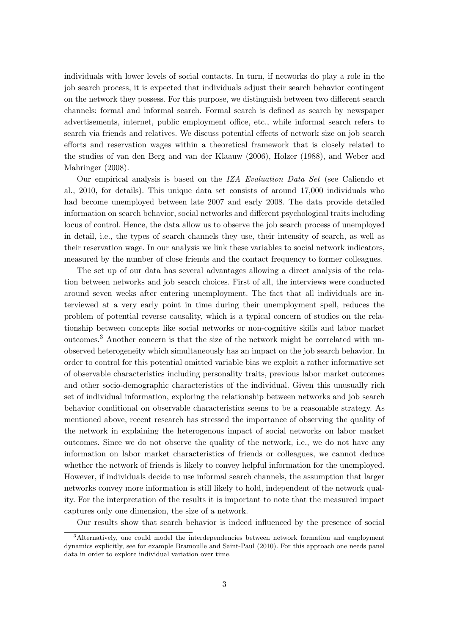individuals with lower levels of social contacts. In turn, if networks do play a role in the job search process, it is expected that individuals adjust their search behavior contingent on the network they possess. For this purpose, we distinguish between two different search channels: formal and informal search. Formal search is defined as search by newspaper advertisements, internet, public employment office, etc., while informal search refers to search via friends and relatives. We discuss potential effects of network size on job search efforts and reservation wages within a theoretical framework that is closely related to the studies of van den Berg and van der Klaauw (2006), Holzer (1988), and Weber and Mahringer (2008).

Our empirical analysis is based on the IZA Evaluation Data Set (see Caliendo et al., 2010, for details). This unique data set consists of around 17,000 individuals who had become unemployed between late 2007 and early 2008. The data provide detailed information on search behavior, social networks and different psychological traits including locus of control. Hence, the data allow us to observe the job search process of unemployed in detail, i.e., the types of search channels they use, their intensity of search, as well as their reservation wage. In our analysis we link these variables to social network indicators, measured by the number of close friends and the contact frequency to former colleagues.

The set up of our data has several advantages allowing a direct analysis of the relation between networks and job search choices. First of all, the interviews were conducted around seven weeks after entering unemployment. The fact that all individuals are interviewed at a very early point in time during their unemployment spell, reduces the problem of potential reverse causality, which is a typical concern of studies on the relationship between concepts like social networks or non-cognitive skills and labor market outcomes.<sup>3</sup> Another concern is that the size of the network might be correlated with unobserved heterogeneity which simultaneously has an impact on the job search behavior. In order to control for this potential omitted variable bias we exploit a rather informative set of observable characteristics including personality traits, previous labor market outcomes and other socio-demographic characteristics of the individual. Given this unusually rich set of individual information, exploring the relationship between networks and job search behavior conditional on observable characteristics seems to be a reasonable strategy. As mentioned above, recent research has stressed the importance of observing the quality of the network in explaining the heterogenous impact of social networks on labor market outcomes. Since we do not observe the quality of the network, i.e., we do not have any information on labor market characteristics of friends or colleagues, we cannot deduce whether the network of friends is likely to convey helpful information for the unemployed. However, if individuals decide to use informal search channels, the assumption that larger networks convey more information is still likely to hold, independent of the network quality. For the interpretation of the results it is important to note that the measured impact captures only one dimension, the size of a network.

Our results show that search behavior is indeed influenced by the presence of social

<sup>&</sup>lt;sup>3</sup>Alternatively, one could model the interdependencies between network formation and employment dynamics explicitly, see for example Bramoulle and Saint-Paul (2010). For this approach one needs panel data in order to explore individual variation over time.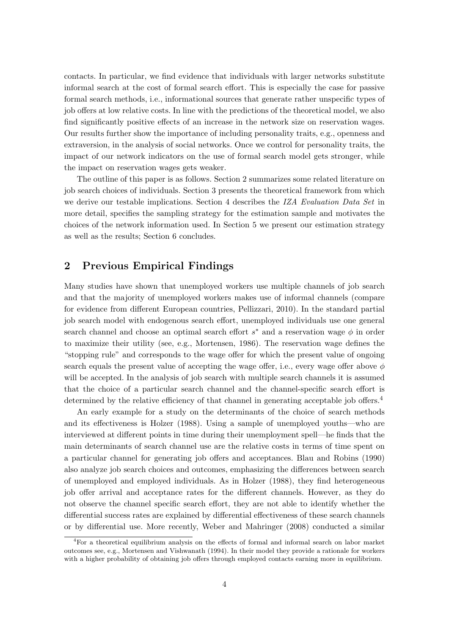contacts. In particular, we find evidence that individuals with larger networks substitute informal search at the cost of formal search effort. This is especially the case for passive formal search methods, i.e., informational sources that generate rather unspecific types of job offers at low relative costs. In line with the predictions of the theoretical model, we also find significantly positive effects of an increase in the network size on reservation wages. Our results further show the importance of including personality traits, e.g., openness and extraversion, in the analysis of social networks. Once we control for personality traits, the impact of our network indicators on the use of formal search model gets stronger, while the impact on reservation wages gets weaker.

The outline of this paper is as follows. Section 2 summarizes some related literature on job search choices of individuals. Section 3 presents the theoretical framework from which we derive our testable implications. Section 4 describes the IZA Evaluation Data Set in more detail, specifies the sampling strategy for the estimation sample and motivates the choices of the network information used. In Section 5 we present our estimation strategy as well as the results; Section 6 concludes.

# 2 Previous Empirical Findings

Many studies have shown that unemployed workers use multiple channels of job search and that the majority of unemployed workers makes use of informal channels (compare for evidence from different European countries, Pellizzari, 2010). In the standard partial job search model with endogenous search effort, unemployed individuals use one general search channel and choose an optimal search effort  $s^*$  and a reservation wage  $\phi$  in order to maximize their utility (see, e.g., Mortensen, 1986). The reservation wage defines the "stopping rule" and corresponds to the wage offer for which the present value of ongoing search equals the present value of accepting the wage offer, i.e., every wage offer above  $\phi$ will be accepted. In the analysis of job search with multiple search channels it is assumed that the choice of a particular search channel and the channel-specific search effort is determined by the relative efficiency of that channel in generating acceptable job offers.<sup>4</sup>

An early example for a study on the determinants of the choice of search methods and its effectiveness is Holzer (1988). Using a sample of unemployed youths—who are interviewed at different points in time during their unemployment spell—he finds that the main determinants of search channel use are the relative costs in terms of time spent on a particular channel for generating job offers and acceptances. Blau and Robins (1990) also analyze job search choices and outcomes, emphasizing the differences between search of unemployed and employed individuals. As in Holzer (1988), they find heterogeneous job offer arrival and acceptance rates for the different channels. However, as they do not observe the channel specific search effort, they are not able to identify whether the differential success rates are explained by differential effectiveness of these search channels or by differential use. More recently, Weber and Mahringer (2008) conducted a similar

<sup>4</sup>For a theoretical equilibrium analysis on the effects of formal and informal search on labor market outcomes see, e.g., Mortensen and Vishwanath (1994). In their model they provide a rationale for workers with a higher probability of obtaining job offers through employed contacts earning more in equilibrium.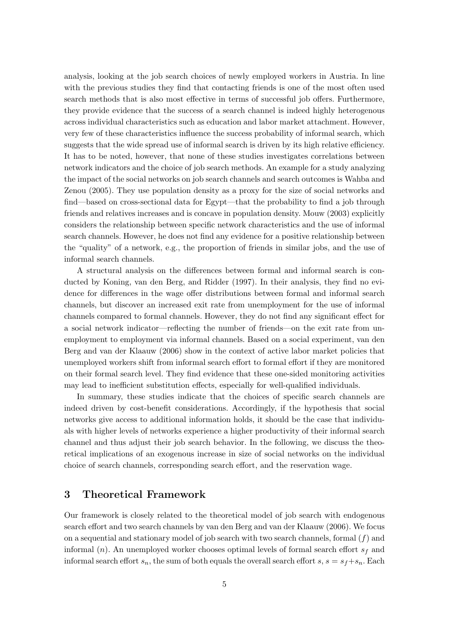analysis, looking at the job search choices of newly employed workers in Austria. In line with the previous studies they find that contacting friends is one of the most often used search methods that is also most effective in terms of successful job offers. Furthermore, they provide evidence that the success of a search channel is indeed highly heterogenous across individual characteristics such as education and labor market attachment. However, very few of these characteristics influence the success probability of informal search, which suggests that the wide spread use of informal search is driven by its high relative efficiency. It has to be noted, however, that none of these studies investigates correlations between network indicators and the choice of job search methods. An example for a study analyzing the impact of the social networks on job search channels and search outcomes is Wahba and Zenou (2005). They use population density as a proxy for the size of social networks and find—based on cross-sectional data for Egypt—that the probability to find a job through friends and relatives increases and is concave in population density. Mouw (2003) explicitly considers the relationship between specific network characteristics and the use of informal search channels. However, he does not find any evidence for a positive relationship between the "quality" of a network, e.g., the proportion of friends in similar jobs, and the use of informal search channels.

A structural analysis on the differences between formal and informal search is conducted by Koning, van den Berg, and Ridder (1997). In their analysis, they find no evidence for differences in the wage offer distributions between formal and informal search channels, but discover an increased exit rate from unemployment for the use of informal channels compared to formal channels. However, they do not find any significant effect for a social network indicator—reflecting the number of friends—on the exit rate from unemployment to employment via informal channels. Based on a social experiment, van den Berg and van der Klaauw (2006) show in the context of active labor market policies that unemployed workers shift from informal search effort to formal effort if they are monitored on their formal search level. They find evidence that these one-sided monitoring activities may lead to inefficient substitution effects, especially for well-qualified individuals.

In summary, these studies indicate that the choices of specific search channels are indeed driven by cost-benefit considerations. Accordingly, if the hypothesis that social networks give access to additional information holds, it should be the case that individuals with higher levels of networks experience a higher productivity of their informal search channel and thus adjust their job search behavior. In the following, we discuss the theoretical implications of an exogenous increase in size of social networks on the individual choice of search channels, corresponding search effort, and the reservation wage.

### 3 Theoretical Framework

Our framework is closely related to the theoretical model of job search with endogenous search effort and two search channels by van den Berg and van der Klaauw (2006). We focus on a sequential and stationary model of job search with two search channels, formal  $(f)$  and informal  $(n)$ . An unemployed worker chooses optimal levels of formal search effort  $s_f$  and informal search effort  $s_n$ , the sum of both equals the overall search effort  $s, s = s_f + s_n$ . Each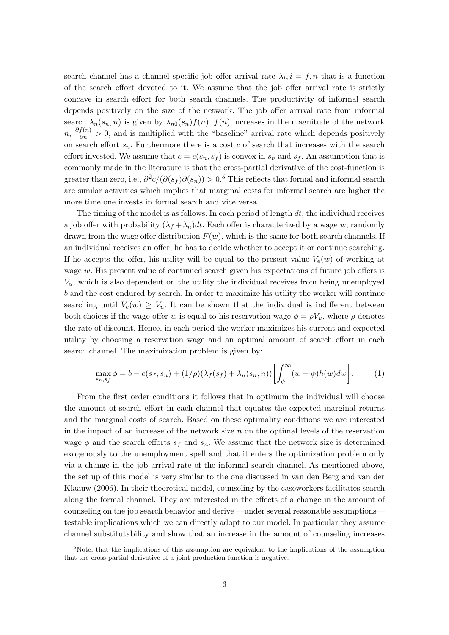search channel has a channel specific job offer arrival rate  $\lambda_i$ ,  $i = f, n$  that is a function of the search effort devoted to it. We assume that the job offer arrival rate is strictly concave in search effort for both search channels. The productivity of informal search depends positively on the size of the network. The job offer arrival rate from informal search  $\lambda_n(s_n, n)$  is given by  $\lambda_{n0}(s_n)f(n)$ .  $f(n)$  increases in the magnitude of the network  $n, \frac{\partial f(n)}{\partial n} > 0$ , and is multiplied with the "baseline" arrival rate which depends positively on search effort  $s_n$ . Furthermore there is a cost c of search that increases with the search effort invested. We assume that  $c = c(s_n, s_f)$  is convex in  $s_n$  and  $s_f$ . An assumption that is commonly made in the literature is that the cross-partial derivative of the cost-function is greater than zero, i.e.,  $\partial^2 c/(\partial(s_f)\partial(s_n)) > 0.5$  This reflects that formal and informal search are similar activities which implies that marginal costs for informal search are higher the more time one invests in formal search and vice versa.

The timing of the model is as follows. In each period of length  $dt$ , the individual receives a job offer with probability  $(\lambda_f + \lambda_n)dt$ . Each offer is characterized by a wage w, randomly drawn from the wage offer distribution  $F(w)$ , which is the same for both search channels. If an individual receives an offer, he has to decide whether to accept it or continue searching. If he accepts the offer, his utility will be equal to the present value  $V_e(w)$  of working at wage w. His present value of continued search given his expectations of future job offers is  $V_u$ , which is also dependent on the utility the individual receives from being unemployed b and the cost endured by search. In order to maximize his utility the worker will continue searching until  $V_e(w) \geq V_u$ . It can be shown that the individual is indifferent between both choices if the wage offer w is equal to his reservation wage  $\phi = \rho V_u$ , where  $\rho$  denotes the rate of discount. Hence, in each period the worker maximizes his current and expected utility by choosing a reservation wage and an optimal amount of search effort in each search channel. The maximization problem is given by:

$$
\max_{s_n, s_f} \phi = b - c(s_f, s_n) + (1/\rho)(\lambda_f(s_f) + \lambda_n(s_n, n)) \left[ \int_{\phi}^{\infty} (w - \phi) h(w) dw \right].
$$
 (1)

From the first order conditions it follows that in optimum the individual will choose the amount of search effort in each channel that equates the expected marginal returns and the marginal costs of search. Based on these optimality conditions we are interested in the impact of an increase of the network size  $n$  on the optimal levels of the reservation wage  $\phi$  and the search efforts  $s_f$  and  $s_n$ . We assume that the network size is determined exogenously to the unemployment spell and that it enters the optimization problem only via a change in the job arrival rate of the informal search channel. As mentioned above, the set up of this model is very similar to the one discussed in van den Berg and van der Klaauw (2006). In their theoretical model, counseling by the caseworkers facilitates search along the formal channel. They are interested in the effects of a change in the amount of counseling on the job search behavior and derive —under several reasonable assumptions testable implications which we can directly adopt to our model. In particular they assume channel substitutability and show that an increase in the amount of counseling increases

<sup>&</sup>lt;sup>5</sup>Note, that the implications of this assumption are equivalent to the implications of the assumption that the cross-partial derivative of a joint production function is negative.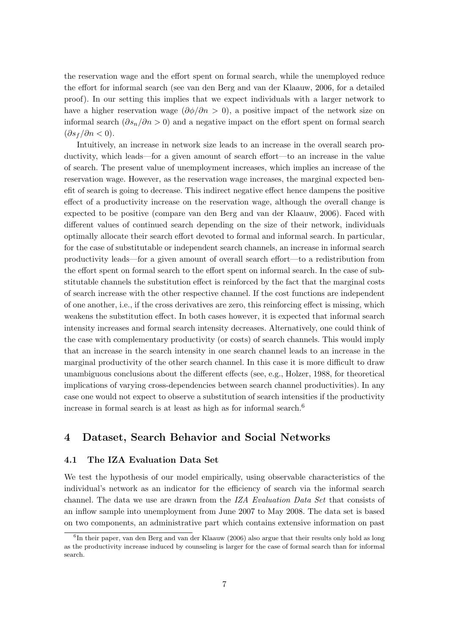the reservation wage and the effort spent on formal search, while the unemployed reduce the effort for informal search (see van den Berg and van der Klaauw, 2006, for a detailed proof). In our setting this implies that we expect individuals with a larger network to have a higher reservation wage  $(\partial \phi / \partial n > 0)$ , a positive impact of the network size on informal search ( $\partial s_n/\partial n > 0$ ) and a negative impact on the effort spent on formal search  $(\partial s_f/\partial n < 0).$ 

Intuitively, an increase in network size leads to an increase in the overall search productivity, which leads—for a given amount of search effort—to an increase in the value of search. The present value of unemployment increases, which implies an increase of the reservation wage. However, as the reservation wage increases, the marginal expected benefit of search is going to decrease. This indirect negative effect hence dampens the positive effect of a productivity increase on the reservation wage, although the overall change is expected to be positive (compare van den Berg and van der Klaauw, 2006). Faced with different values of continued search depending on the size of their network, individuals optimally allocate their search effort devoted to formal and informal search. In particular, for the case of substitutable or independent search channels, an increase in informal search productivity leads—for a given amount of overall search effort—to a redistribution from the effort spent on formal search to the effort spent on informal search. In the case of substitutable channels the substitution effect is reinforced by the fact that the marginal costs of search increase with the other respective channel. If the cost functions are independent of one another, i.e., if the cross derivatives are zero, this reinforcing effect is missing, which weakens the substitution effect. In both cases however, it is expected that informal search intensity increases and formal search intensity decreases. Alternatively, one could think of the case with complementary productivity (or costs) of search channels. This would imply that an increase in the search intensity in one search channel leads to an increase in the marginal productivity of the other search channel. In this case it is more difficult to draw unambiguous conclusions about the different effects (see, e.g., Holzer, 1988, for theoretical implications of varying cross-dependencies between search channel productivities). In any case one would not expect to observe a substitution of search intensities if the productivity increase in formal search is at least as high as for informal search.<sup>6</sup>

# 4 Dataset, Search Behavior and Social Networks

#### 4.1 The IZA Evaluation Data Set

We test the hypothesis of our model empirically, using observable characteristics of the individual's network as an indicator for the efficiency of search via the informal search channel. The data we use are drawn from the IZA Evaluation Data Set that consists of an inflow sample into unemployment from June 2007 to May 2008. The data set is based on two components, an administrative part which contains extensive information on past

<sup>&</sup>lt;sup>6</sup>In their paper, van den Berg and van der Klaauw (2006) also argue that their results only hold as long as the productivity increase induced by counseling is larger for the case of formal search than for informal search.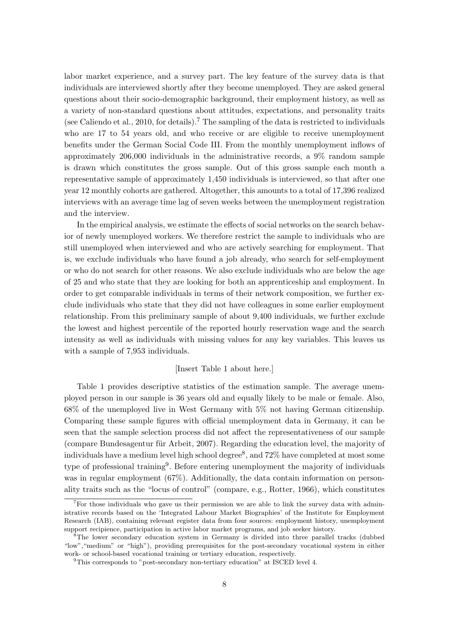labor market experience, and a survey part. The key feature of the survey data is that individuals are interviewed shortly after they become unemployed. They are asked general questions about their socio-demographic background, their employment history, as well as a variety of non-standard questions about attitudes, expectations, and personality traits (see Caliendo et al., 2010, for details).<sup>7</sup> The sampling of the data is restricted to individuals who are 17 to 54 years old, and who receive or are eligible to receive unemployment benefits under the German Social Code III. From the monthly unemployment inflows of approximately 206,000 individuals in the administrative records, a 9% random sample is drawn which constitutes the gross sample. Out of this gross sample each month a representative sample of approximately 1,450 individuals is interviewed, so that after one year 12 monthly cohorts are gathered. Altogether, this amounts to a total of 17,396 realized interviews with an average time lag of seven weeks between the unemployment registration and the interview.

In the empirical analysis, we estimate the effects of social networks on the search behavior of newly unemployed workers. We therefore restrict the sample to individuals who are still unemployed when interviewed and who are actively searching for employment. That is, we exclude individuals who have found a job already, who search for self-employment or who do not search for other reasons. We also exclude individuals who are below the age of 25 and who state that they are looking for both an apprenticeship and employment. In order to get comparable individuals in terms of their network composition, we further exclude individuals who state that they did not have colleagues in some earlier employment relationship. From this preliminary sample of about 9,400 individuals, we further exclude the lowest and highest percentile of the reported hourly reservation wage and the search intensity as well as individuals with missing values for any key variables. This leaves us with a sample of 7,953 individuals.

#### [Insert Table 1 about here.]

Table 1 provides descriptive statistics of the estimation sample. The average unemployed person in our sample is 36 years old and equally likely to be male or female. Also, 68% of the unemployed live in West Germany with 5% not having German citizenship. Comparing these sample figures with official unemployment data in Germany, it can be seen that the sample selection process did not affect the representativeness of our sample  $(compare Bundesagentur für Arbeit, 2007)$ . Regarding the education level, the majority of individuals have a medium level high school degree<sup>8</sup>, and  $72\%$  have completed at most some type of professional training<sup>9</sup>. Before entering unemployment the majority of individuals was in regular employment (67%). Additionally, the data contain information on personality traits such as the "locus of control" (compare, e.g., Rotter, 1966), which constitutes

<sup>&</sup>lt;sup>7</sup>For those individuals who gave us their permission we are able to link the survey data with administrative records based on the 'Integrated Labour Market Biographies' of the Institute for Employment Research (IAB), containing relevant register data from four sources: employment history, unemployment support recipience, participation in active labor market programs, and job seeker history.

<sup>&</sup>lt;sup>8</sup>The lower secondary education system in Germany is divided into three parallel tracks (dubbed "low","medium" or "high"), providing prerequisites for the post-secondary vocational system in either work- or school-based vocational training or tertiary education, respectively.

<sup>9</sup>This corresponds to "post-secondary non-tertiary education" at ISCED level 4.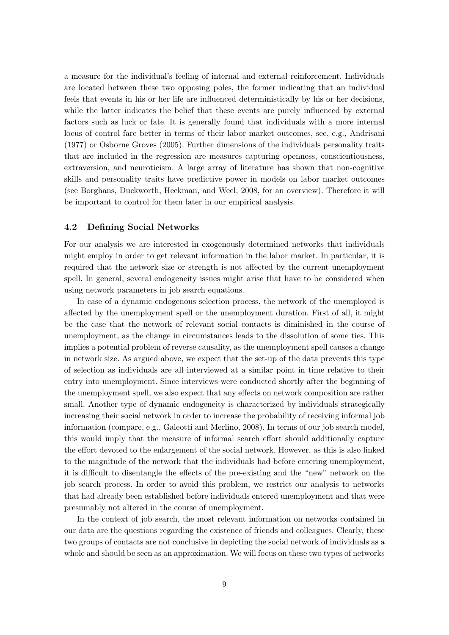a measure for the individual's feeling of internal and external reinforcement. Individuals are located between these two opposing poles, the former indicating that an individual feels that events in his or her life are influenced deterministically by his or her decisions, while the latter indicates the belief that these events are purely influenced by external factors such as luck or fate. It is generally found that individuals with a more internal locus of control fare better in terms of their labor market outcomes, see, e.g., Andrisani (1977) or Osborne Groves (2005). Further dimensions of the individuals personality traits that are included in the regression are measures capturing openness, conscientiousness, extraversion, and neuroticism. A large array of literature has shown that non-cognitive skills and personality traits have predictive power in models on labor market outcomes (see Borghans, Duckworth, Heckman, and Weel, 2008, for an overview). Therefore it will be important to control for them later in our empirical analysis.

#### 4.2 Defining Social Networks

For our analysis we are interested in exogenously determined networks that individuals might employ in order to get relevant information in the labor market. In particular, it is required that the network size or strength is not affected by the current unemployment spell. In general, several endogeneity issues might arise that have to be considered when using network parameters in job search equations.

In case of a dynamic endogenous selection process, the network of the unemployed is affected by the unemployment spell or the unemployment duration. First of all, it might be the case that the network of relevant social contacts is diminished in the course of unemployment, as the change in circumstances leads to the dissolution of some ties. This implies a potential problem of reverse causality, as the unemployment spell causes a change in network size. As argued above, we expect that the set-up of the data prevents this type of selection as individuals are all interviewed at a similar point in time relative to their entry into unemployment. Since interviews were conducted shortly after the beginning of the unemployment spell, we also expect that any effects on network composition are rather small. Another type of dynamic endogeneity is characterized by individuals strategically increasing their social network in order to increase the probability of receiving informal job information (compare, e.g., Galeotti and Merlino, 2008). In terms of our job search model, this would imply that the measure of informal search effort should additionally capture the effort devoted to the enlargement of the social network. However, as this is also linked to the magnitude of the network that the individuals had before entering unemployment, it is difficult to disentangle the effects of the pre-existing and the "new" network on the job search process. In order to avoid this problem, we restrict our analysis to networks that had already been established before individuals entered unemployment and that were presumably not altered in the course of unemployment.

In the context of job search, the most relevant information on networks contained in our data are the questions regarding the existence of friends and colleagues. Clearly, these two groups of contacts are not conclusive in depicting the social network of individuals as a whole and should be seen as an approximation. We will focus on these two types of networks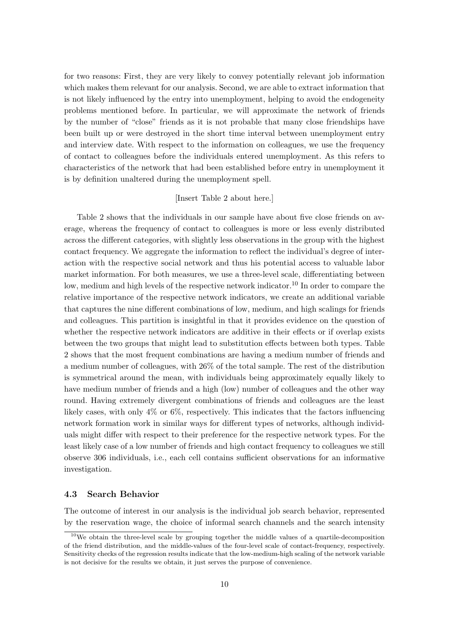for two reasons: First, they are very likely to convey potentially relevant job information which makes them relevant for our analysis. Second, we are able to extract information that is not likely influenced by the entry into unemployment, helping to avoid the endogeneity problems mentioned before. In particular, we will approximate the network of friends by the number of "close" friends as it is not probable that many close friendships have been built up or were destroyed in the short time interval between unemployment entry and interview date. With respect to the information on colleagues, we use the frequency of contact to colleagues before the individuals entered unemployment. As this refers to characteristics of the network that had been established before entry in unemployment it is by definition unaltered during the unemployment spell.

#### [Insert Table 2 about here.]

Table 2 shows that the individuals in our sample have about five close friends on average, whereas the frequency of contact to colleagues is more or less evenly distributed across the different categories, with slightly less observations in the group with the highest contact frequency. We aggregate the information to reflect the individual's degree of interaction with the respective social network and thus his potential access to valuable labor market information. For both measures, we use a three-level scale, differentiating between low, medium and high levels of the respective network indicator.<sup>10</sup> In order to compare the relative importance of the respective network indicators, we create an additional variable that captures the nine different combinations of low, medium, and high scalings for friends and colleagues. This partition is insightful in that it provides evidence on the question of whether the respective network indicators are additive in their effects or if overlap exists between the two groups that might lead to substitution effects between both types. Table 2 shows that the most frequent combinations are having a medium number of friends and a medium number of colleagues, with 26% of the total sample. The rest of the distribution is symmetrical around the mean, with individuals being approximately equally likely to have medium number of friends and a high (low) number of colleagues and the other way round. Having extremely divergent combinations of friends and colleagues are the least likely cases, with only 4% or 6%, respectively. This indicates that the factors influencing network formation work in similar ways for different types of networks, although individuals might differ with respect to their preference for the respective network types. For the least likely case of a low number of friends and high contact frequency to colleagues we still observe 306 individuals, i.e., each cell contains sufficient observations for an informative investigation.

#### 4.3 Search Behavior

The outcome of interest in our analysis is the individual job search behavior, represented by the reservation wage, the choice of informal search channels and the search intensity

<sup>&</sup>lt;sup>10</sup>We obtain the three-level scale by grouping together the middle values of a quartile-decomposition of the friend distribution, and the middle-values of the four-level scale of contact-frequency, respectively. Sensitivity checks of the regression results indicate that the low-medium-high scaling of the network variable is not decisive for the results we obtain, it just serves the purpose of convenience.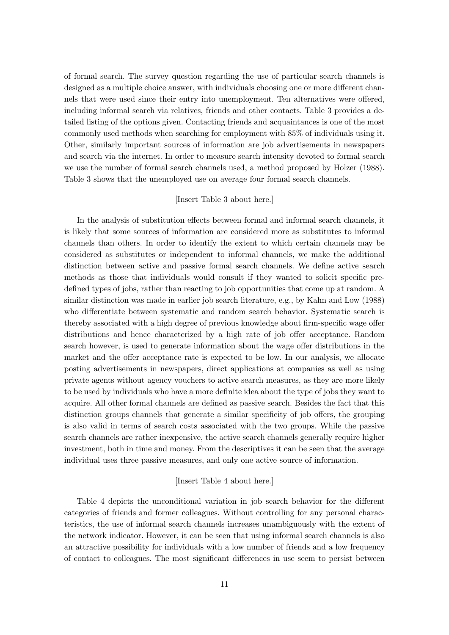of formal search. The survey question regarding the use of particular search channels is designed as a multiple choice answer, with individuals choosing one or more different channels that were used since their entry into unemployment. Ten alternatives were offered, including informal search via relatives, friends and other contacts. Table 3 provides a detailed listing of the options given. Contacting friends and acquaintances is one of the most commonly used methods when searching for employment with 85% of individuals using it. Other, similarly important sources of information are job advertisements in newspapers and search via the internet. In order to measure search intensity devoted to formal search we use the number of formal search channels used, a method proposed by Holzer (1988). Table 3 shows that the unemployed use on average four formal search channels.

#### [Insert Table 3 about here.]

In the analysis of substitution effects between formal and informal search channels, it is likely that some sources of information are considered more as substitutes to informal channels than others. In order to identify the extent to which certain channels may be considered as substitutes or independent to informal channels, we make the additional distinction between active and passive formal search channels. We define active search methods as those that individuals would consult if they wanted to solicit specific predefined types of jobs, rather than reacting to job opportunities that come up at random. A similar distinction was made in earlier job search literature, e.g., by Kahn and Low (1988) who differentiate between systematic and random search behavior. Systematic search is thereby associated with a high degree of previous knowledge about firm-specific wage offer distributions and hence characterized by a high rate of job offer acceptance. Random search however, is used to generate information about the wage offer distributions in the market and the offer acceptance rate is expected to be low. In our analysis, we allocate posting advertisements in newspapers, direct applications at companies as well as using private agents without agency vouchers to active search measures, as they are more likely to be used by individuals who have a more definite idea about the type of jobs they want to acquire. All other formal channels are defined as passive search. Besides the fact that this distinction groups channels that generate a similar specificity of job offers, the grouping is also valid in terms of search costs associated with the two groups. While the passive search channels are rather inexpensive, the active search channels generally require higher investment, both in time and money. From the descriptives it can be seen that the average individual uses three passive measures, and only one active source of information.

#### [Insert Table 4 about here.]

Table 4 depicts the unconditional variation in job search behavior for the different categories of friends and former colleagues. Without controlling for any personal characteristics, the use of informal search channels increases unambiguously with the extent of the network indicator. However, it can be seen that using informal search channels is also an attractive possibility for individuals with a low number of friends and a low frequency of contact to colleagues. The most significant differences in use seem to persist between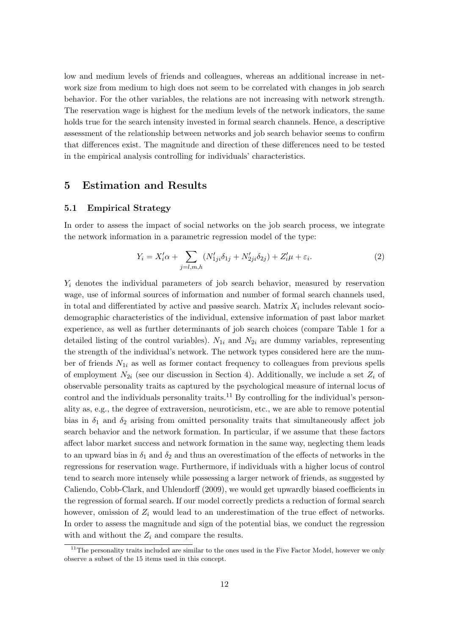low and medium levels of friends and colleagues, whereas an additional increase in network size from medium to high does not seem to be correlated with changes in job search behavior. For the other variables, the relations are not increasing with network strength. The reservation wage is highest for the medium levels of the network indicators, the same holds true for the search intensity invested in formal search channels. Hence, a descriptive assessment of the relationship between networks and job search behavior seems to confirm that differences exist. The magnitude and direction of these differences need to be tested in the empirical analysis controlling for individuals' characteristics.

# 5 Estimation and Results

#### 5.1 Empirical Strategy

In order to assess the impact of social networks on the job search process, we integrate the network information in a parametric regression model of the type:

$$
Y_i = X_i' \alpha + \sum_{j=l,m,h} (N_{1ji}' \delta_{1j} + N_{2ji}' \delta_{2j}) + Z_i' \mu + \varepsilon_i.
$$
 (2)

 $Y_i$  denotes the individual parameters of job search behavior, measured by reservation wage, use of informal sources of information and number of formal search channels used, in total and differentiated by active and passive search. Matrix  $X_i$  includes relevant sociodemographic characteristics of the individual, extensive information of past labor market experience, as well as further determinants of job search choices (compare Table 1 for a detailed listing of the control variables).  $N_{1i}$  and  $N_{2i}$  are dummy variables, representing the strength of the individual's network. The network types considered here are the number of friends  $N_{1i}$  as well as former contact frequency to colleagues from previous spells of employment  $N_{2i}$  (see our discussion in Section 4). Additionally, we include a set  $Z_i$  of observable personality traits as captured by the psychological measure of internal locus of control and the individuals personality traits.<sup>11</sup> By controlling for the individual's personality as, e.g., the degree of extraversion, neuroticism, etc., we are able to remove potential bias in  $\delta_1$  and  $\delta_2$  arising from omitted personality traits that simultaneously affect job search behavior and the network formation. In particular, if we assume that these factors affect labor market success and network formation in the same way, neglecting them leads to an upward bias in  $\delta_1$  and  $\delta_2$  and thus an overestimation of the effects of networks in the regressions for reservation wage. Furthermore, if individuals with a higher locus of control tend to search more intensely while possessing a larger network of friends, as suggested by Caliendo, Cobb-Clark, and Uhlendorff (2009), we would get upwardly biased coefficients in the regression of formal search. If our model correctly predicts a reduction of formal search however, omission of  $Z_i$  would lead to an underestimation of the true effect of networks. In order to assess the magnitude and sign of the potential bias, we conduct the regression with and without the  $Z_i$  and compare the results.

<sup>&</sup>lt;sup>11</sup>The personality traits included are similar to the ones used in the Five Factor Model, however we only observe a subset of the 15 items used in this concept.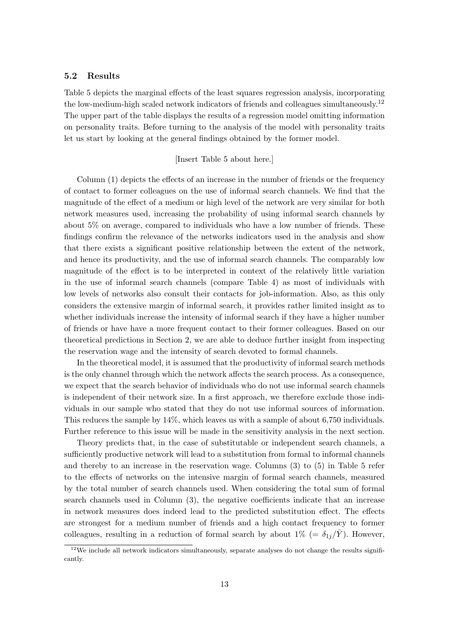#### 5.2 Results

Table 5 depicts the marginal effects of the least squares regression analysis, incorporating the low-medium-high scaled network indicators of friends and colleagues simultaneously.<sup>12</sup> The upper part of the table displays the results of a regression model omitting information on personality traits. Before turning to the analysis of the model with personality traits let us start by looking at the general findings obtained by the former model.

#### [Insert Table 5 about here.]

Column (1) depicts the effects of an increase in the number of friends or the frequency of contact to former colleagues on the use of informal search channels. We find that the magnitude of the effect of a medium or high level of the network are very similar for both network measures used, increasing the probability of using informal search channels by about 5% on average, compared to individuals who have a low number of friends. These findings confirm the relevance of the networks indicators used in the analysis and show that there exists a significant positive relationship between the extent of the network, and hence its productivity, and the use of informal search channels. The comparably low magnitude of the effect is to be interpreted in context of the relatively little variation in the use of informal search channels (compare Table 4) as most of individuals with low levels of networks also consult their contacts for job-information. Also, as this only considers the extensive margin of informal search, it provides rather limited insight as to whether individuals increase the intensity of informal search if they have a higher number of friends or have have a more frequent contact to their former colleagues. Based on our theoretical predictions in Section 2, we are able to deduce further insight from inspecting the reservation wage and the intensity of search devoted to formal channels.

In the theoretical model, it is assumed that the productivity of informal search methods is the only channel through which the network affects the search process. As a consequence, we expect that the search behavior of individuals who do not use informal search channels is independent of their network size. In a first approach, we therefore exclude those individuals in our sample who stated that they do not use informal sources of information. This reduces the sample by 14%, which leaves us with a sample of about 6,750 individuals. Further reference to this issue will be made in the sensitivity analysis in the next section.

Theory predicts that, in the case of substitutable or independent search channels, a sufficiently productive network will lead to a substitution from formal to informal channels and thereby to an increase in the reservation wage. Columns (3) to (5) in Table 5 refer to the effects of networks on the intensive margin of formal search channels, measured by the total number of search channels used. When considering the total sum of formal search channels used in Column (3), the negative coefficients indicate that an increase in network measures does indeed lead to the predicted substitution effect. The effects are strongest for a medium number of friends and a high contact frequency to former colleagues, resulting in a reduction of formal search by about  $1\%$  (=  $\delta_{1i}/\overline{Y}$ ). However,

 $12$ We include all network indicators simultaneously, separate analyses do not change the results significantly.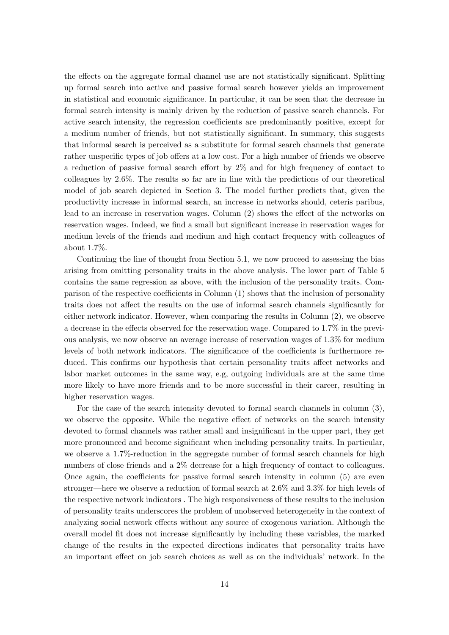the effects on the aggregate formal channel use are not statistically significant. Splitting up formal search into active and passive formal search however yields an improvement in statistical and economic significance. In particular, it can be seen that the decrease in formal search intensity is mainly driven by the reduction of passive search channels. For active search intensity, the regression coefficients are predominantly positive, except for a medium number of friends, but not statistically significant. In summary, this suggests that informal search is perceived as a substitute for formal search channels that generate rather unspecific types of job offers at a low cost. For a high number of friends we observe a reduction of passive formal search effort by 2% and for high frequency of contact to colleagues by 2.6%. The results so far are in line with the predictions of our theoretical model of job search depicted in Section 3. The model further predicts that, given the productivity increase in informal search, an increase in networks should, ceteris paribus, lead to an increase in reservation wages. Column (2) shows the effect of the networks on reservation wages. Indeed, we find a small but significant increase in reservation wages for medium levels of the friends and medium and high contact frequency with colleagues of about 1.7%.

Continuing the line of thought from Section 5.1, we now proceed to assessing the bias arising from omitting personality traits in the above analysis. The lower part of Table 5 contains the same regression as above, with the inclusion of the personality traits. Comparison of the respective coefficients in Column (1) shows that the inclusion of personality traits does not affect the results on the use of informal search channels significantly for either network indicator. However, when comparing the results in Column (2), we observe a decrease in the effects observed for the reservation wage. Compared to 1.7% in the previous analysis, we now observe an average increase of reservation wages of 1.3% for medium levels of both network indicators. The significance of the coefficients is furthermore reduced. This confirms our hypothesis that certain personality traits affect networks and labor market outcomes in the same way, e.g, outgoing individuals are at the same time more likely to have more friends and to be more successful in their career, resulting in higher reservation wages.

For the case of the search intensity devoted to formal search channels in column (3), we observe the opposite. While the negative effect of networks on the search intensity devoted to formal channels was rather small and insignificant in the upper part, they get more pronounced and become significant when including personality traits. In particular, we observe a 1.7%-reduction in the aggregate number of formal search channels for high numbers of close friends and a 2% decrease for a high frequency of contact to colleagues. Once again, the coefficients for passive formal search intensity in column (5) are even stronger—here we observe a reduction of formal search at 2.6% and 3.3% for high levels of the respective network indicators . The high responsiveness of these results to the inclusion of personality traits underscores the problem of unobserved heterogeneity in the context of analyzing social network effects without any source of exogenous variation. Although the overall model fit does not increase significantly by including these variables, the marked change of the results in the expected directions indicates that personality traits have an important effect on job search choices as well as on the individuals' network. In the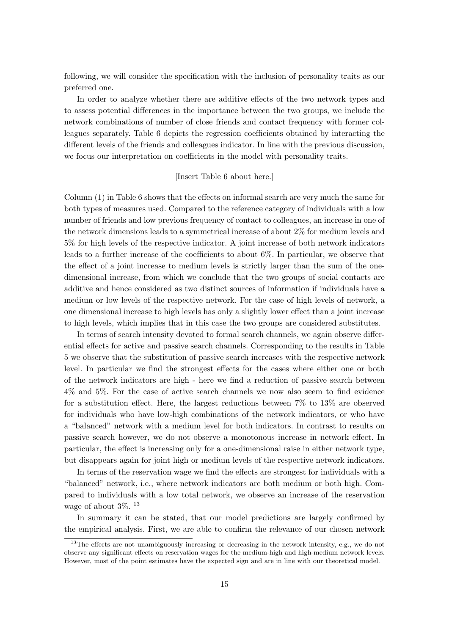following, we will consider the specification with the inclusion of personality traits as our preferred one.

In order to analyze whether there are additive effects of the two network types and to assess potential differences in the importance between the two groups, we include the network combinations of number of close friends and contact frequency with former colleagues separately. Table 6 depicts the regression coefficients obtained by interacting the different levels of the friends and colleagues indicator. In line with the previous discussion, we focus our interpretation on coefficients in the model with personality traits.

#### [Insert Table 6 about here.]

Column (1) in Table 6 shows that the effects on informal search are very much the same for both types of measures used. Compared to the reference category of individuals with a low number of friends and low previous frequency of contact to colleagues, an increase in one of the network dimensions leads to a symmetrical increase of about 2% for medium levels and 5% for high levels of the respective indicator. A joint increase of both network indicators leads to a further increase of the coefficients to about 6%. In particular, we observe that the effect of a joint increase to medium levels is strictly larger than the sum of the onedimensional increase, from which we conclude that the two groups of social contacts are additive and hence considered as two distinct sources of information if individuals have a medium or low levels of the respective network. For the case of high levels of network, a one dimensional increase to high levels has only a slightly lower effect than a joint increase to high levels, which implies that in this case the two groups are considered substitutes.

In terms of search intensity devoted to formal search channels, we again observe differential effects for active and passive search channels. Corresponding to the results in Table 5 we observe that the substitution of passive search increases with the respective network level. In particular we find the strongest effects for the cases where either one or both of the network indicators are high - here we find a reduction of passive search between 4% and 5%. For the case of active search channels we now also seem to find evidence for a substitution effect. Here, the largest reductions between 7% to 13% are observed for individuals who have low-high combinations of the network indicators, or who have a "balanced" network with a medium level for both indicators. In contrast to results on passive search however, we do not observe a monotonous increase in network effect. In particular, the effect is increasing only for a one-dimensional raise in either network type, but disappears again for joint high or medium levels of the respective network indicators.

In terms of the reservation wage we find the effects are strongest for individuals with a "balanced" network, i.e., where network indicators are both medium or both high. Compared to individuals with a low total network, we observe an increase of the reservation wage of about  $3\%$ .  $^{13}$ 

In summary it can be stated, that our model predictions are largely confirmed by the empirical analysis. First, we are able to confirm the relevance of our chosen network

<sup>&</sup>lt;sup>13</sup>The effects are not unambiguously increasing or decreasing in the network intensity, e.g., we do not observe any significant effects on reservation wages for the medium-high and high-medium network levels. However, most of the point estimates have the expected sign and are in line with our theoretical model.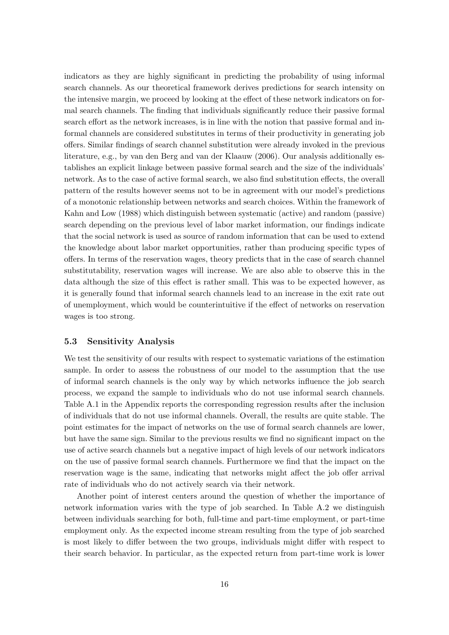indicators as they are highly significant in predicting the probability of using informal search channels. As our theoretical framework derives predictions for search intensity on the intensive margin, we proceed by looking at the effect of these network indicators on formal search channels. The finding that individuals significantly reduce their passive formal search effort as the network increases, is in line with the notion that passive formal and informal channels are considered substitutes in terms of their productivity in generating job offers. Similar findings of search channel substitution were already invoked in the previous literature, e.g., by van den Berg and van der Klaauw (2006). Our analysis additionally establishes an explicit linkage between passive formal search and the size of the individuals' network. As to the case of active formal search, we also find substitution effects, the overall pattern of the results however seems not to be in agreement with our model's predictions of a monotonic relationship between networks and search choices. Within the framework of Kahn and Low (1988) which distinguish between systematic (active) and random (passive) search depending on the previous level of labor market information, our findings indicate that the social network is used as source of random information that can be used to extend the knowledge about labor market opportunities, rather than producing specific types of offers. In terms of the reservation wages, theory predicts that in the case of search channel substitutability, reservation wages will increase. We are also able to observe this in the data although the size of this effect is rather small. This was to be expected however, as it is generally found that informal search channels lead to an increase in the exit rate out of unemployment, which would be counterintuitive if the effect of networks on reservation wages is too strong.

#### 5.3 Sensitivity Analysis

We test the sensitivity of our results with respect to systematic variations of the estimation sample. In order to assess the robustness of our model to the assumption that the use of informal search channels is the only way by which networks influence the job search process, we expand the sample to individuals who do not use informal search channels. Table A.1 in the Appendix reports the corresponding regression results after the inclusion of individuals that do not use informal channels. Overall, the results are quite stable. The point estimates for the impact of networks on the use of formal search channels are lower, but have the same sign. Similar to the previous results we find no significant impact on the use of active search channels but a negative impact of high levels of our network indicators on the use of passive formal search channels. Furthermore we find that the impact on the reservation wage is the same, indicating that networks might affect the job offer arrival rate of individuals who do not actively search via their network.

Another point of interest centers around the question of whether the importance of network information varies with the type of job searched. In Table A.2 we distinguish between individuals searching for both, full-time and part-time employment, or part-time employment only. As the expected income stream resulting from the type of job searched is most likely to differ between the two groups, individuals might differ with respect to their search behavior. In particular, as the expected return from part-time work is lower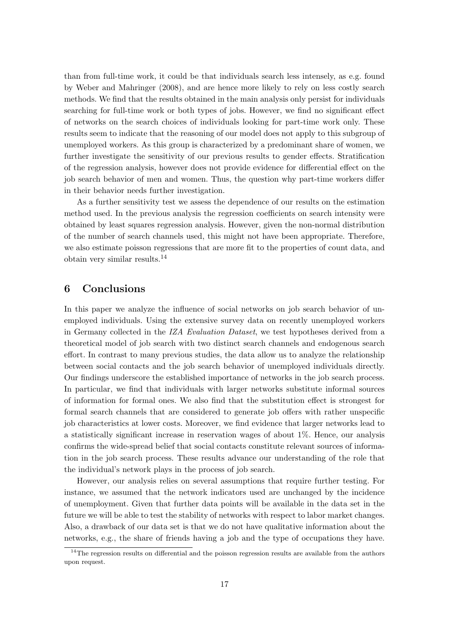than from full-time work, it could be that individuals search less intensely, as e.g. found by Weber and Mahringer (2008), and are hence more likely to rely on less costly search methods. We find that the results obtained in the main analysis only persist for individuals searching for full-time work or both types of jobs. However, we find no significant effect of networks on the search choices of individuals looking for part-time work only. These results seem to indicate that the reasoning of our model does not apply to this subgroup of unemployed workers. As this group is characterized by a predominant share of women, we further investigate the sensitivity of our previous results to gender effects. Stratification of the regression analysis, however does not provide evidence for differential effect on the job search behavior of men and women. Thus, the question why part-time workers differ in their behavior needs further investigation.

As a further sensitivity test we assess the dependence of our results on the estimation method used. In the previous analysis the regression coefficients on search intensity were obtained by least squares regression analysis. However, given the non-normal distribution of the number of search channels used, this might not have been appropriate. Therefore, we also estimate poisson regressions that are more fit to the properties of count data, and obtain very similar results.<sup>14</sup>

### 6 Conclusions

In this paper we analyze the influence of social networks on job search behavior of unemployed individuals. Using the extensive survey data on recently unemployed workers in Germany collected in the IZA Evaluation Dataset, we test hypotheses derived from a theoretical model of job search with two distinct search channels and endogenous search effort. In contrast to many previous studies, the data allow us to analyze the relationship between social contacts and the job search behavior of unemployed individuals directly. Our findings underscore the established importance of networks in the job search process. In particular, we find that individuals with larger networks substitute informal sources of information for formal ones. We also find that the substitution effect is strongest for formal search channels that are considered to generate job offers with rather unspecific job characteristics at lower costs. Moreover, we find evidence that larger networks lead to a statistically significant increase in reservation wages of about 1%. Hence, our analysis confirms the wide-spread belief that social contacts constitute relevant sources of information in the job search process. These results advance our understanding of the role that the individual's network plays in the process of job search.

However, our analysis relies on several assumptions that require further testing. For instance, we assumed that the network indicators used are unchanged by the incidence of unemployment. Given that further data points will be available in the data set in the future we will be able to test the stability of networks with respect to labor market changes. Also, a drawback of our data set is that we do not have qualitative information about the networks, e.g., the share of friends having a job and the type of occupations they have.

<sup>&</sup>lt;sup>14</sup>The regression results on differential and the poisson regression results are available from the authors upon request.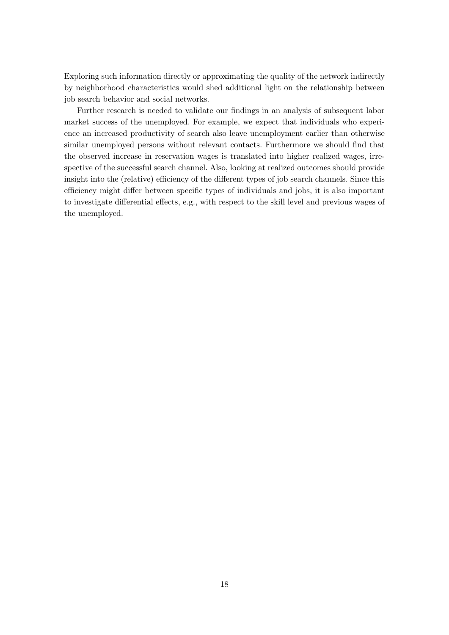Exploring such information directly or approximating the quality of the network indirectly by neighborhood characteristics would shed additional light on the relationship between job search behavior and social networks.

Further research is needed to validate our findings in an analysis of subsequent labor market success of the unemployed. For example, we expect that individuals who experience an increased productivity of search also leave unemployment earlier than otherwise similar unemployed persons without relevant contacts. Furthermore we should find that the observed increase in reservation wages is translated into higher realized wages, irrespective of the successful search channel. Also, looking at realized outcomes should provide insight into the (relative) efficiency of the different types of job search channels. Since this efficiency might differ between specific types of individuals and jobs, it is also important to investigate differential effects, e.g., with respect to the skill level and previous wages of the unemployed.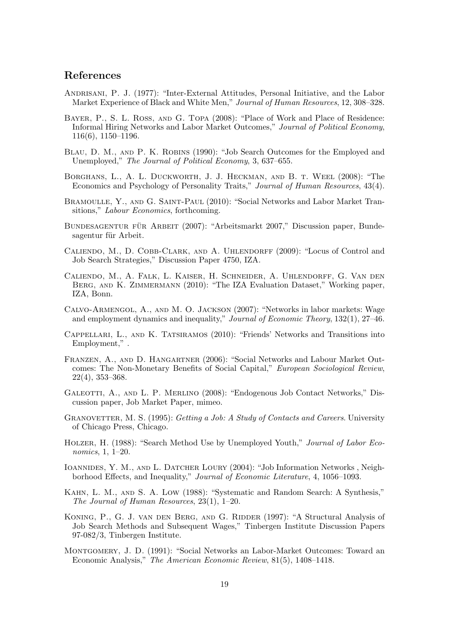#### References

- Andrisani, P. J. (1977): "Inter-External Attitudes, Personal Initiative, and the Labor Market Experience of Black and White Men," Journal of Human Resources, 12, 308–328.
- Bayer, P., S. L. Ross, and G. Topa (2008): "Place of Work and Place of Residence: Informal Hiring Networks and Labor Market Outcomes," Journal of Political Economy, 116(6), 1150–1196.
- Blau, D. M., and P. K. Robins (1990): "Job Search Outcomes for the Employed and Unemployed," The Journal of Political Economy, 3, 637–655.
- Borghans, L., A. L. Duckworth, J. J. Heckman, and B. t. Weel (2008): "The Economics and Psychology of Personality Traits," Journal of Human Resources, 43(4).
- BRAMOULLE, Y., AND G. SAINT-PAUL (2010): "Social Networks and Labor Market Transitions," Labour Economics, forthcoming.
- BUNDESAGENTUR FÜR ARBEIT (2007): "Arbeitsmarkt 2007," Discussion paper, Bundesagentur für Arbeit.
- CALIENDO, M., D. COBB-CLARK, AND A. UHLENDORFF (2009): "Locus of Control and Job Search Strategies," Discussion Paper 4750, IZA.
- Caliendo, M., A. Falk, L. Kaiser, H. Schneider, A. Uhlendorff, G. Van den Berg, and K. Zimmermann (2010): "The IZA Evaluation Dataset," Working paper, IZA, Bonn.
- Calvo-Armengol, A., and M. O. Jackson (2007): "Networks in labor markets: Wage and employment dynamics and inequality," Journal of Economic Theory, 132(1), 27–46.
- Cappellari, L., and K. Tatsiramos (2010): "Friends' Networks and Transitions into Employment.".
- Franzen, A., and D. Hangartner (2006): "Social Networks and Labour Market Outcomes: The Non-Monetary Benefits of Social Capital," European Sociological Review, 22(4), 353–368.
- GALEOTTI, A., AND L. P. MERLINO (2008): "Endogenous Job Contact Networks," Discussion paper, Job Market Paper, mimeo.
- GRANOVETTER, M. S. (1995): Getting a Job: A Study of Contacts and Careers. University of Chicago Press, Chicago.
- Holzer, H. (1988): "Search Method Use by Unemployed Youth," Journal of Labor Economics, 1, 1–20.
- IOANNIDES, Y. M., AND L. DATCHER LOURY (2004): "Job Information Networks, Neighborhood Effects, and Inequality," Journal of Economic Literature, 4, 1056–1093.
- Kahn, L. M., and S. A. Low (1988): "Systematic and Random Search: A Synthesis," The Journal of Human Resources, 23(1), 1–20.
- KONING, P., G. J. VAN DEN BERG, AND G. RIDDER (1997): "A Structural Analysis of Job Search Methods and Subsequent Wages," Tinbergen Institute Discussion Papers 97-082/3, Tinbergen Institute.
- Montgomery, J. D. (1991): "Social Networks an Labor-Market Outcomes: Toward an Economic Analysis," The American Economic Review, 81(5), 1408–1418.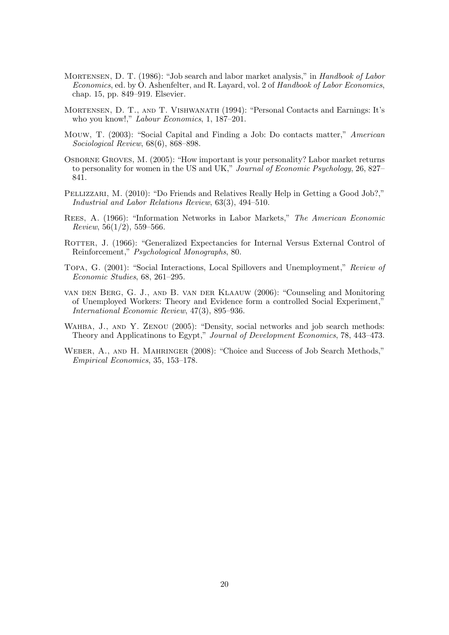- MORTENSEN, D. T. (1986): "Job search and labor market analysis," in *Handbook of Labor* Economics, ed. by O. Ashenfelter, and R. Layard, vol. 2 of Handbook of Labor Economics, chap. 15, pp. 849–919. Elsevier.
- Mortensen, D. T., and T. Vishwanath (1994): "Personal Contacts and Earnings: It's who you know!," Labour Economics, 1, 187–201.
- Mouw, T. (2003): "Social Capital and Finding a Job: Do contacts matter," American Sociological Review, 68(6), 868–898.
- Osborne Groves, M. (2005): "How important is your personality? Labor market returns to personality for women in the US and UK," Journal of Economic Psychology, 26, 827– 841.
- PELLIZZARI, M. (2010): "Do Friends and Relatives Really Help in Getting a Good Job?," Industrial and Labor Relations Review, 63(3), 494–510.
- Rees, A. (1966): "Information Networks in Labor Markets," The American Economic Review,  $56(1/2)$ ,  $559-566$ .
- ROTTER, J. (1966): "Generalized Expectancies for Internal Versus External Control of Reinforcement," Psychological Monographs, 80.
- Topa, G. (2001): "Social Interactions, Local Spillovers and Unemployment," Review of Economic Studies, 68, 261–295.
- van den Berg, G. J., and B. van der Klaauw (2006): "Counseling and Monitoring of Unemployed Workers: Theory and Evidence form a controlled Social Experiment," International Economic Review, 47(3), 895–936.
- WAHBA, J., AND Y. ZENOU (2005): "Density, social networks and job search methods: Theory and Applicatinons to Egypt," Journal of Development Economics, 78, 443–473.
- Weber, A., and H. Mahringer (2008): "Choice and Success of Job Search Methods," Empirical Economics, 35, 153–178.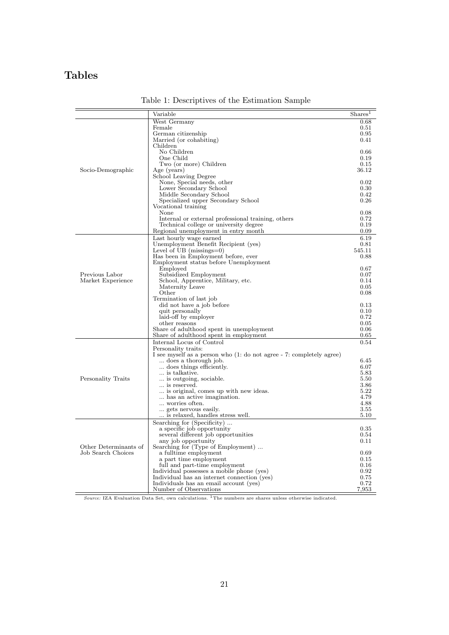# Tables

| West Germany<br>0.68<br>0.51<br>Female<br>German citizenship<br>0.95<br>Married (or cohabiting)<br>0.41<br>Children<br>No Children<br>0.66<br>One Child<br>0.19<br>Two (or more) Children<br>0.15<br>Age (years)<br>Socio-Demographic<br>36.12<br>School Leaving Degree<br>None, Special needs, other<br>0.02<br>Lower Secondary School<br>0.30<br>Middle Secondary School<br>0.42<br>Specialized upper Secondary School<br>0.26<br>Vocational training<br>None<br>0.08<br>Internal or external professional training, others<br>0.72<br>Technical college or university degree<br>0.19<br>Regional unemployment in entry month<br>0.09<br>Last hourly wage earned<br>6.19<br>Unemployment Benefit Recipient (yes)<br>0.81<br>545.11<br>Level of $UB$ (missings=0)<br>Has been in Employment before, ever<br>0.88<br>Employment status before Unemployment<br>Employed<br>0.67<br>Previous Labor<br>Subsidized Employment<br>0.07<br>Market Experience<br>School, Apprentice, Military, etc.<br>0.14<br>Maternity Leave<br>0.05<br>Other<br>0.08<br>Termination of last job<br>did not have a job before<br>0.13<br>quit personally<br>0.10<br>laid-off by employer<br>0.72<br>other reasons<br>0.05<br>Share of adulthood spent in unemployment<br>0.06<br>Share of adulthood spent in employment<br>0.65<br>Internal Locus of Control<br>0.54<br>Personality traits:<br>I see myself as a person who (1: do not agree - 7: completely agree)<br>does a thorough job.<br>6.45<br>does things efficiently.<br>6.07<br>is talkative.<br>5.83<br>Personality Traits<br>is outgoing, sociable.<br>5.50<br>is reserved.<br>3.86<br>is original, comes up with new ideas.<br>5.22<br>has an active imagination.<br>4.79<br>worries often.<br>4.88<br>gets nervous easily.<br>3.55<br>is relaxed, handles stress well.<br>5.10<br>Searching for (Specificity)<br>a specific job opportunity<br>0.35<br>several different job opportunities<br>0.54<br>any job opportunity<br>0.11<br>Searching for (Type of Employment)<br>Other Determinants of<br>Job Search Choices<br>a fulltime employment<br>0.69<br>a part time employment<br>0.15<br>full and part-time employment<br>0.16<br>Individual possesses a mobile phone (yes)<br>0.92<br>Individual has an internet connection (yes)<br>0.75<br>Individuals has an email account (yes)<br>0.72<br>Number of Observations<br>7,953 |  | Variable | Shares <sup>1</sup> |
|-------------------------------------------------------------------------------------------------------------------------------------------------------------------------------------------------------------------------------------------------------------------------------------------------------------------------------------------------------------------------------------------------------------------------------------------------------------------------------------------------------------------------------------------------------------------------------------------------------------------------------------------------------------------------------------------------------------------------------------------------------------------------------------------------------------------------------------------------------------------------------------------------------------------------------------------------------------------------------------------------------------------------------------------------------------------------------------------------------------------------------------------------------------------------------------------------------------------------------------------------------------------------------------------------------------------------------------------------------------------------------------------------------------------------------------------------------------------------------------------------------------------------------------------------------------------------------------------------------------------------------------------------------------------------------------------------------------------------------------------------------------------------------------------------------------------------------------------------------------------------------------------------------------------------------------------------------------------------------------------------------------------------------------------------------------------------------------------------------------------------------------------------------------------------------------------------------------------------------------------------------------------------------------------------------------------------------------------------------------------------------|--|----------|---------------------|
|                                                                                                                                                                                                                                                                                                                                                                                                                                                                                                                                                                                                                                                                                                                                                                                                                                                                                                                                                                                                                                                                                                                                                                                                                                                                                                                                                                                                                                                                                                                                                                                                                                                                                                                                                                                                                                                                                                                                                                                                                                                                                                                                                                                                                                                                                                                                                                               |  |          |                     |
|                                                                                                                                                                                                                                                                                                                                                                                                                                                                                                                                                                                                                                                                                                                                                                                                                                                                                                                                                                                                                                                                                                                                                                                                                                                                                                                                                                                                                                                                                                                                                                                                                                                                                                                                                                                                                                                                                                                                                                                                                                                                                                                                                                                                                                                                                                                                                                               |  |          |                     |
|                                                                                                                                                                                                                                                                                                                                                                                                                                                                                                                                                                                                                                                                                                                                                                                                                                                                                                                                                                                                                                                                                                                                                                                                                                                                                                                                                                                                                                                                                                                                                                                                                                                                                                                                                                                                                                                                                                                                                                                                                                                                                                                                                                                                                                                                                                                                                                               |  |          |                     |
|                                                                                                                                                                                                                                                                                                                                                                                                                                                                                                                                                                                                                                                                                                                                                                                                                                                                                                                                                                                                                                                                                                                                                                                                                                                                                                                                                                                                                                                                                                                                                                                                                                                                                                                                                                                                                                                                                                                                                                                                                                                                                                                                                                                                                                                                                                                                                                               |  |          |                     |
|                                                                                                                                                                                                                                                                                                                                                                                                                                                                                                                                                                                                                                                                                                                                                                                                                                                                                                                                                                                                                                                                                                                                                                                                                                                                                                                                                                                                                                                                                                                                                                                                                                                                                                                                                                                                                                                                                                                                                                                                                                                                                                                                                                                                                                                                                                                                                                               |  |          |                     |
|                                                                                                                                                                                                                                                                                                                                                                                                                                                                                                                                                                                                                                                                                                                                                                                                                                                                                                                                                                                                                                                                                                                                                                                                                                                                                                                                                                                                                                                                                                                                                                                                                                                                                                                                                                                                                                                                                                                                                                                                                                                                                                                                                                                                                                                                                                                                                                               |  |          |                     |
|                                                                                                                                                                                                                                                                                                                                                                                                                                                                                                                                                                                                                                                                                                                                                                                                                                                                                                                                                                                                                                                                                                                                                                                                                                                                                                                                                                                                                                                                                                                                                                                                                                                                                                                                                                                                                                                                                                                                                                                                                                                                                                                                                                                                                                                                                                                                                                               |  |          |                     |
|                                                                                                                                                                                                                                                                                                                                                                                                                                                                                                                                                                                                                                                                                                                                                                                                                                                                                                                                                                                                                                                                                                                                                                                                                                                                                                                                                                                                                                                                                                                                                                                                                                                                                                                                                                                                                                                                                                                                                                                                                                                                                                                                                                                                                                                                                                                                                                               |  |          |                     |
|                                                                                                                                                                                                                                                                                                                                                                                                                                                                                                                                                                                                                                                                                                                                                                                                                                                                                                                                                                                                                                                                                                                                                                                                                                                                                                                                                                                                                                                                                                                                                                                                                                                                                                                                                                                                                                                                                                                                                                                                                                                                                                                                                                                                                                                                                                                                                                               |  |          |                     |
|                                                                                                                                                                                                                                                                                                                                                                                                                                                                                                                                                                                                                                                                                                                                                                                                                                                                                                                                                                                                                                                                                                                                                                                                                                                                                                                                                                                                                                                                                                                                                                                                                                                                                                                                                                                                                                                                                                                                                                                                                                                                                                                                                                                                                                                                                                                                                                               |  |          |                     |
|                                                                                                                                                                                                                                                                                                                                                                                                                                                                                                                                                                                                                                                                                                                                                                                                                                                                                                                                                                                                                                                                                                                                                                                                                                                                                                                                                                                                                                                                                                                                                                                                                                                                                                                                                                                                                                                                                                                                                                                                                                                                                                                                                                                                                                                                                                                                                                               |  |          |                     |
|                                                                                                                                                                                                                                                                                                                                                                                                                                                                                                                                                                                                                                                                                                                                                                                                                                                                                                                                                                                                                                                                                                                                                                                                                                                                                                                                                                                                                                                                                                                                                                                                                                                                                                                                                                                                                                                                                                                                                                                                                                                                                                                                                                                                                                                                                                                                                                               |  |          |                     |
|                                                                                                                                                                                                                                                                                                                                                                                                                                                                                                                                                                                                                                                                                                                                                                                                                                                                                                                                                                                                                                                                                                                                                                                                                                                                                                                                                                                                                                                                                                                                                                                                                                                                                                                                                                                                                                                                                                                                                                                                                                                                                                                                                                                                                                                                                                                                                                               |  |          |                     |
|                                                                                                                                                                                                                                                                                                                                                                                                                                                                                                                                                                                                                                                                                                                                                                                                                                                                                                                                                                                                                                                                                                                                                                                                                                                                                                                                                                                                                                                                                                                                                                                                                                                                                                                                                                                                                                                                                                                                                                                                                                                                                                                                                                                                                                                                                                                                                                               |  |          |                     |
|                                                                                                                                                                                                                                                                                                                                                                                                                                                                                                                                                                                                                                                                                                                                                                                                                                                                                                                                                                                                                                                                                                                                                                                                                                                                                                                                                                                                                                                                                                                                                                                                                                                                                                                                                                                                                                                                                                                                                                                                                                                                                                                                                                                                                                                                                                                                                                               |  |          |                     |
|                                                                                                                                                                                                                                                                                                                                                                                                                                                                                                                                                                                                                                                                                                                                                                                                                                                                                                                                                                                                                                                                                                                                                                                                                                                                                                                                                                                                                                                                                                                                                                                                                                                                                                                                                                                                                                                                                                                                                                                                                                                                                                                                                                                                                                                                                                                                                                               |  |          |                     |
|                                                                                                                                                                                                                                                                                                                                                                                                                                                                                                                                                                                                                                                                                                                                                                                                                                                                                                                                                                                                                                                                                                                                                                                                                                                                                                                                                                                                                                                                                                                                                                                                                                                                                                                                                                                                                                                                                                                                                                                                                                                                                                                                                                                                                                                                                                                                                                               |  |          |                     |
|                                                                                                                                                                                                                                                                                                                                                                                                                                                                                                                                                                                                                                                                                                                                                                                                                                                                                                                                                                                                                                                                                                                                                                                                                                                                                                                                                                                                                                                                                                                                                                                                                                                                                                                                                                                                                                                                                                                                                                                                                                                                                                                                                                                                                                                                                                                                                                               |  |          |                     |
|                                                                                                                                                                                                                                                                                                                                                                                                                                                                                                                                                                                                                                                                                                                                                                                                                                                                                                                                                                                                                                                                                                                                                                                                                                                                                                                                                                                                                                                                                                                                                                                                                                                                                                                                                                                                                                                                                                                                                                                                                                                                                                                                                                                                                                                                                                                                                                               |  |          |                     |
|                                                                                                                                                                                                                                                                                                                                                                                                                                                                                                                                                                                                                                                                                                                                                                                                                                                                                                                                                                                                                                                                                                                                                                                                                                                                                                                                                                                                                                                                                                                                                                                                                                                                                                                                                                                                                                                                                                                                                                                                                                                                                                                                                                                                                                                                                                                                                                               |  |          |                     |
|                                                                                                                                                                                                                                                                                                                                                                                                                                                                                                                                                                                                                                                                                                                                                                                                                                                                                                                                                                                                                                                                                                                                                                                                                                                                                                                                                                                                                                                                                                                                                                                                                                                                                                                                                                                                                                                                                                                                                                                                                                                                                                                                                                                                                                                                                                                                                                               |  |          |                     |
|                                                                                                                                                                                                                                                                                                                                                                                                                                                                                                                                                                                                                                                                                                                                                                                                                                                                                                                                                                                                                                                                                                                                                                                                                                                                                                                                                                                                                                                                                                                                                                                                                                                                                                                                                                                                                                                                                                                                                                                                                                                                                                                                                                                                                                                                                                                                                                               |  |          |                     |
|                                                                                                                                                                                                                                                                                                                                                                                                                                                                                                                                                                                                                                                                                                                                                                                                                                                                                                                                                                                                                                                                                                                                                                                                                                                                                                                                                                                                                                                                                                                                                                                                                                                                                                                                                                                                                                                                                                                                                                                                                                                                                                                                                                                                                                                                                                                                                                               |  |          |                     |
|                                                                                                                                                                                                                                                                                                                                                                                                                                                                                                                                                                                                                                                                                                                                                                                                                                                                                                                                                                                                                                                                                                                                                                                                                                                                                                                                                                                                                                                                                                                                                                                                                                                                                                                                                                                                                                                                                                                                                                                                                                                                                                                                                                                                                                                                                                                                                                               |  |          |                     |
|                                                                                                                                                                                                                                                                                                                                                                                                                                                                                                                                                                                                                                                                                                                                                                                                                                                                                                                                                                                                                                                                                                                                                                                                                                                                                                                                                                                                                                                                                                                                                                                                                                                                                                                                                                                                                                                                                                                                                                                                                                                                                                                                                                                                                                                                                                                                                                               |  |          |                     |
|                                                                                                                                                                                                                                                                                                                                                                                                                                                                                                                                                                                                                                                                                                                                                                                                                                                                                                                                                                                                                                                                                                                                                                                                                                                                                                                                                                                                                                                                                                                                                                                                                                                                                                                                                                                                                                                                                                                                                                                                                                                                                                                                                                                                                                                                                                                                                                               |  |          |                     |
|                                                                                                                                                                                                                                                                                                                                                                                                                                                                                                                                                                                                                                                                                                                                                                                                                                                                                                                                                                                                                                                                                                                                                                                                                                                                                                                                                                                                                                                                                                                                                                                                                                                                                                                                                                                                                                                                                                                                                                                                                                                                                                                                                                                                                                                                                                                                                                               |  |          |                     |
|                                                                                                                                                                                                                                                                                                                                                                                                                                                                                                                                                                                                                                                                                                                                                                                                                                                                                                                                                                                                                                                                                                                                                                                                                                                                                                                                                                                                                                                                                                                                                                                                                                                                                                                                                                                                                                                                                                                                                                                                                                                                                                                                                                                                                                                                                                                                                                               |  |          |                     |
|                                                                                                                                                                                                                                                                                                                                                                                                                                                                                                                                                                                                                                                                                                                                                                                                                                                                                                                                                                                                                                                                                                                                                                                                                                                                                                                                                                                                                                                                                                                                                                                                                                                                                                                                                                                                                                                                                                                                                                                                                                                                                                                                                                                                                                                                                                                                                                               |  |          |                     |
|                                                                                                                                                                                                                                                                                                                                                                                                                                                                                                                                                                                                                                                                                                                                                                                                                                                                                                                                                                                                                                                                                                                                                                                                                                                                                                                                                                                                                                                                                                                                                                                                                                                                                                                                                                                                                                                                                                                                                                                                                                                                                                                                                                                                                                                                                                                                                                               |  |          |                     |
|                                                                                                                                                                                                                                                                                                                                                                                                                                                                                                                                                                                                                                                                                                                                                                                                                                                                                                                                                                                                                                                                                                                                                                                                                                                                                                                                                                                                                                                                                                                                                                                                                                                                                                                                                                                                                                                                                                                                                                                                                                                                                                                                                                                                                                                                                                                                                                               |  |          |                     |
|                                                                                                                                                                                                                                                                                                                                                                                                                                                                                                                                                                                                                                                                                                                                                                                                                                                                                                                                                                                                                                                                                                                                                                                                                                                                                                                                                                                                                                                                                                                                                                                                                                                                                                                                                                                                                                                                                                                                                                                                                                                                                                                                                                                                                                                                                                                                                                               |  |          |                     |
|                                                                                                                                                                                                                                                                                                                                                                                                                                                                                                                                                                                                                                                                                                                                                                                                                                                                                                                                                                                                                                                                                                                                                                                                                                                                                                                                                                                                                                                                                                                                                                                                                                                                                                                                                                                                                                                                                                                                                                                                                                                                                                                                                                                                                                                                                                                                                                               |  |          |                     |
|                                                                                                                                                                                                                                                                                                                                                                                                                                                                                                                                                                                                                                                                                                                                                                                                                                                                                                                                                                                                                                                                                                                                                                                                                                                                                                                                                                                                                                                                                                                                                                                                                                                                                                                                                                                                                                                                                                                                                                                                                                                                                                                                                                                                                                                                                                                                                                               |  |          |                     |
|                                                                                                                                                                                                                                                                                                                                                                                                                                                                                                                                                                                                                                                                                                                                                                                                                                                                                                                                                                                                                                                                                                                                                                                                                                                                                                                                                                                                                                                                                                                                                                                                                                                                                                                                                                                                                                                                                                                                                                                                                                                                                                                                                                                                                                                                                                                                                                               |  |          |                     |
|                                                                                                                                                                                                                                                                                                                                                                                                                                                                                                                                                                                                                                                                                                                                                                                                                                                                                                                                                                                                                                                                                                                                                                                                                                                                                                                                                                                                                                                                                                                                                                                                                                                                                                                                                                                                                                                                                                                                                                                                                                                                                                                                                                                                                                                                                                                                                                               |  |          |                     |
|                                                                                                                                                                                                                                                                                                                                                                                                                                                                                                                                                                                                                                                                                                                                                                                                                                                                                                                                                                                                                                                                                                                                                                                                                                                                                                                                                                                                                                                                                                                                                                                                                                                                                                                                                                                                                                                                                                                                                                                                                                                                                                                                                                                                                                                                                                                                                                               |  |          |                     |
|                                                                                                                                                                                                                                                                                                                                                                                                                                                                                                                                                                                                                                                                                                                                                                                                                                                                                                                                                                                                                                                                                                                                                                                                                                                                                                                                                                                                                                                                                                                                                                                                                                                                                                                                                                                                                                                                                                                                                                                                                                                                                                                                                                                                                                                                                                                                                                               |  |          |                     |
|                                                                                                                                                                                                                                                                                                                                                                                                                                                                                                                                                                                                                                                                                                                                                                                                                                                                                                                                                                                                                                                                                                                                                                                                                                                                                                                                                                                                                                                                                                                                                                                                                                                                                                                                                                                                                                                                                                                                                                                                                                                                                                                                                                                                                                                                                                                                                                               |  |          |                     |
|                                                                                                                                                                                                                                                                                                                                                                                                                                                                                                                                                                                                                                                                                                                                                                                                                                                                                                                                                                                                                                                                                                                                                                                                                                                                                                                                                                                                                                                                                                                                                                                                                                                                                                                                                                                                                                                                                                                                                                                                                                                                                                                                                                                                                                                                                                                                                                               |  |          |                     |
|                                                                                                                                                                                                                                                                                                                                                                                                                                                                                                                                                                                                                                                                                                                                                                                                                                                                                                                                                                                                                                                                                                                                                                                                                                                                                                                                                                                                                                                                                                                                                                                                                                                                                                                                                                                                                                                                                                                                                                                                                                                                                                                                                                                                                                                                                                                                                                               |  |          |                     |
|                                                                                                                                                                                                                                                                                                                                                                                                                                                                                                                                                                                                                                                                                                                                                                                                                                                                                                                                                                                                                                                                                                                                                                                                                                                                                                                                                                                                                                                                                                                                                                                                                                                                                                                                                                                                                                                                                                                                                                                                                                                                                                                                                                                                                                                                                                                                                                               |  |          |                     |
|                                                                                                                                                                                                                                                                                                                                                                                                                                                                                                                                                                                                                                                                                                                                                                                                                                                                                                                                                                                                                                                                                                                                                                                                                                                                                                                                                                                                                                                                                                                                                                                                                                                                                                                                                                                                                                                                                                                                                                                                                                                                                                                                                                                                                                                                                                                                                                               |  |          |                     |
|                                                                                                                                                                                                                                                                                                                                                                                                                                                                                                                                                                                                                                                                                                                                                                                                                                                                                                                                                                                                                                                                                                                                                                                                                                                                                                                                                                                                                                                                                                                                                                                                                                                                                                                                                                                                                                                                                                                                                                                                                                                                                                                                                                                                                                                                                                                                                                               |  |          |                     |
|                                                                                                                                                                                                                                                                                                                                                                                                                                                                                                                                                                                                                                                                                                                                                                                                                                                                                                                                                                                                                                                                                                                                                                                                                                                                                                                                                                                                                                                                                                                                                                                                                                                                                                                                                                                                                                                                                                                                                                                                                                                                                                                                                                                                                                                                                                                                                                               |  |          |                     |
|                                                                                                                                                                                                                                                                                                                                                                                                                                                                                                                                                                                                                                                                                                                                                                                                                                                                                                                                                                                                                                                                                                                                                                                                                                                                                                                                                                                                                                                                                                                                                                                                                                                                                                                                                                                                                                                                                                                                                                                                                                                                                                                                                                                                                                                                                                                                                                               |  |          |                     |
|                                                                                                                                                                                                                                                                                                                                                                                                                                                                                                                                                                                                                                                                                                                                                                                                                                                                                                                                                                                                                                                                                                                                                                                                                                                                                                                                                                                                                                                                                                                                                                                                                                                                                                                                                                                                                                                                                                                                                                                                                                                                                                                                                                                                                                                                                                                                                                               |  |          |                     |
|                                                                                                                                                                                                                                                                                                                                                                                                                                                                                                                                                                                                                                                                                                                                                                                                                                                                                                                                                                                                                                                                                                                                                                                                                                                                                                                                                                                                                                                                                                                                                                                                                                                                                                                                                                                                                                                                                                                                                                                                                                                                                                                                                                                                                                                                                                                                                                               |  |          |                     |
|                                                                                                                                                                                                                                                                                                                                                                                                                                                                                                                                                                                                                                                                                                                                                                                                                                                                                                                                                                                                                                                                                                                                                                                                                                                                                                                                                                                                                                                                                                                                                                                                                                                                                                                                                                                                                                                                                                                                                                                                                                                                                                                                                                                                                                                                                                                                                                               |  |          |                     |
|                                                                                                                                                                                                                                                                                                                                                                                                                                                                                                                                                                                                                                                                                                                                                                                                                                                                                                                                                                                                                                                                                                                                                                                                                                                                                                                                                                                                                                                                                                                                                                                                                                                                                                                                                                                                                                                                                                                                                                                                                                                                                                                                                                                                                                                                                                                                                                               |  |          |                     |
|                                                                                                                                                                                                                                                                                                                                                                                                                                                                                                                                                                                                                                                                                                                                                                                                                                                                                                                                                                                                                                                                                                                                                                                                                                                                                                                                                                                                                                                                                                                                                                                                                                                                                                                                                                                                                                                                                                                                                                                                                                                                                                                                                                                                                                                                                                                                                                               |  |          |                     |
|                                                                                                                                                                                                                                                                                                                                                                                                                                                                                                                                                                                                                                                                                                                                                                                                                                                                                                                                                                                                                                                                                                                                                                                                                                                                                                                                                                                                                                                                                                                                                                                                                                                                                                                                                                                                                                                                                                                                                                                                                                                                                                                                                                                                                                                                                                                                                                               |  |          |                     |

Table 1: Descriptives of the Estimation Sample

Source: IZA Evaluation Data Set, own calculations. <sup>1</sup>The numbers are shares unless otherwise indicated.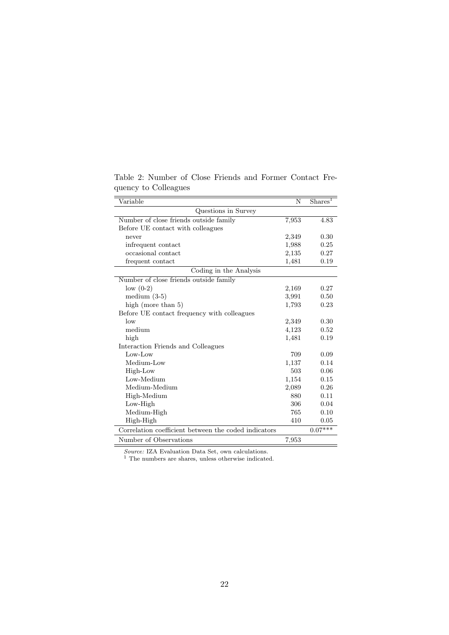| Variable                                             | N     | Shares <sup>1</sup> |
|------------------------------------------------------|-------|---------------------|
| Questions in Survey                                  |       |                     |
| Number of close friends outside family               | 7,953 | 4.83                |
| Before UE contact with colleagues                    |       |                     |
| never                                                | 2,349 | 0.30                |
| infrequent contact                                   | 1,988 | 0.25                |
| occasional contact                                   | 2,135 | 0.27                |
| frequent contact                                     | 1,481 | 0.19                |
| Coding in the Analysis                               |       |                     |
| Number of close friends outside family               |       |                     |
| low $(0-2)$                                          | 2,169 | 0.27                |
| medium $(3-5)$                                       | 3,991 | 0.50                |
| high (more than $5$ )                                | 1,793 | 0.23                |
| Before UE contact frequency with colleagues          |       |                     |
| low                                                  | 2,349 | 0.30                |
| medium                                               | 4,123 | 0.52                |
| high                                                 | 1,481 | 0.19                |
| Interaction Friends and Colleagues                   |       |                     |
| $Low-Low$                                            | 709   | 0.09                |
| Medium-Low                                           | 1,137 | 0.14                |
| High-Low                                             | 503   | 0.06                |
| Low-Medium                                           | 1,154 | 0.15                |
| Medium-Medium                                        | 2,089 | 0.26                |
| High-Medium                                          | 880   | 0.11                |
| Low-High                                             | 306   | 0.04                |
| Medium-High                                          | 765   | 0.10                |
| High-High                                            | 410   | 0.05                |
| Correlation coefficient between the coded indicators |       | $0.07***$           |
| Number of Observations                               | 7,953 |                     |

Table 2: Number of Close Friends and Former Contact Frequency to Colleagues

Source: IZA Evaluation Data Set, own calculations.

<sup>1</sup> The numbers are shares, unless otherwise indicated.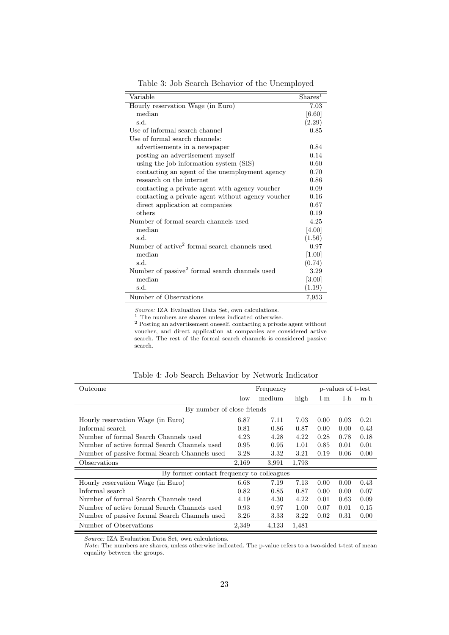| Variable                                                   | Shares <sup>1</sup> |
|------------------------------------------------------------|---------------------|
| Hourly reservation Wage (in Euro)                          | 7.03                |
| median                                                     | [6.60]              |
| s.d.                                                       | (2.29)              |
| Use of informal search channel                             | 0.85                |
| Use of formal search channels:                             |                     |
| advertisements in a newspaper                              | 0.84                |
| posting an advertisement myself                            | 0.14                |
| using the job information system (SIS)                     | 0.60                |
| contacting an agent of the unemployment agency             | 0.70                |
| research on the internet                                   | 0.86                |
| contacting a private agent with agency voucher             | 0.09                |
| contacting a private agent without agency voucher          | 0.16                |
| direct application at companies                            | 0.67                |
| others                                                     | 0.19                |
| Number of formal search channels used                      | 4.25                |
| median                                                     | [4.00]              |
| s.d.                                                       | (1.56)              |
| Number of active <sup>2</sup> formal search channels used  | 0.97                |
| median                                                     | [1.00]              |
| s.d.                                                       | (0.74)              |
| Number of passive <sup>2</sup> formal search channels used | 3.29                |
| median                                                     | [3.00]              |
| s.d.                                                       | (1.19)              |
| Number of Observations                                     | 7,953               |

Table 3: Job Search Behavior of the Unemployed

Source: IZA Evaluation Data Set, own calculations.

 $^1$  The numbers are shares unless indicated otherwise.

<sup>2</sup> Posting an advertisement oneself, contacting a private agent without voucher, and direct application at companies are considered active search. The rest of the formal search channels is considered passive search.

| Outcome                                       |       | Frequency |       |       | p-values of t-test |      |  |  |
|-----------------------------------------------|-------|-----------|-------|-------|--------------------|------|--|--|
|                                               | low   | medium    | high  | $l-m$ | l-h                | m-h  |  |  |
| By number of close friends                    |       |           |       |       |                    |      |  |  |
| Hourly reservation Wage (in Euro)             | 6.87  | 7.11      | 7.03  | 0.00  | 0.03               | 0.21 |  |  |
| Informal search                               | 0.81  | 0.86      | 0.87  | 0.00  | 0.00               | 0.43 |  |  |
| Number of formal Search Channels used         | 4.23  | 4.28      | 4.22  | 0.28  | 0.78               | 0.18 |  |  |
| Number of active formal Search Channels used  | 0.95  | 0.95      | 1.01  | 0.85  | 0.01               | 0.01 |  |  |
| Number of passive formal Search Channels used | 3.28  | 3.32      | 3.21  | 0.19  | 0.06               | 0.00 |  |  |
| Observations                                  | 2,169 | 3,991     | 1,793 |       |                    |      |  |  |
| By former contact frequency to colleagues     |       |           |       |       |                    |      |  |  |
| Hourly reservation Wage (in Euro)             | 6.68  | 7.19      | 7.13  | 0.00  | 0.00               | 0.43 |  |  |
| Informal search                               | 0.82  | 0.85      | 0.87  | 0.00  | 0.00               | 0.07 |  |  |
| Number of formal Search Channels used         | 4.19  | 4.30      | 4.22  | 0.01  | 0.63               | 0.09 |  |  |
| Number of active formal Search Channels used  | 0.93  | 0.97      | 1.00  | 0.07  | 0.01               | 0.15 |  |  |
| Number of passive formal Search Channels used | 3.26  | 3.33      | 3.22  | 0.02  | 0.31               | 0.00 |  |  |
| Number of Observations                        | 2,349 | 4,123     | 1,481 |       |                    |      |  |  |

Table 4: Job Search Behavior by Network Indicator

Source: IZA Evaluation Data Set, own calculations.

Note: The numbers are shares, unless otherwise indicated. The p-value refers to a two-sided t-test of mean equality between the groups.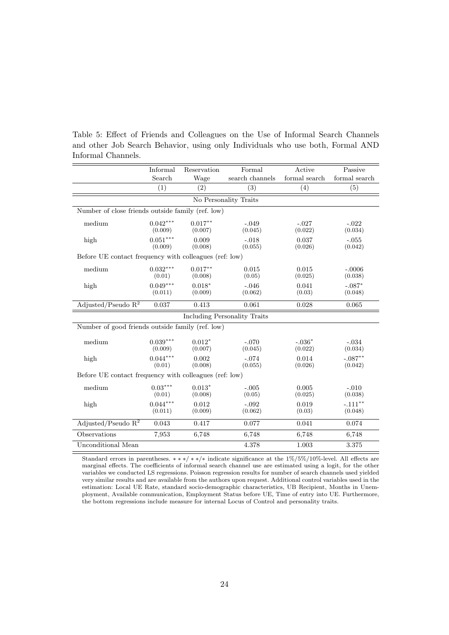|                                                        | Informal              | Reservation           | Formal                | Active              | Passive               |  |  |
|--------------------------------------------------------|-----------------------|-----------------------|-----------------------|---------------------|-----------------------|--|--|
|                                                        | Search                | Wage                  | search channels       | formal search       | formal search         |  |  |
|                                                        | (1)                   | (2)                   | (3)                   | (4)                 | (5)                   |  |  |
|                                                        |                       |                       | No Personality Traits |                     |                       |  |  |
| Number of close friends outside family (ref. low)      |                       |                       |                       |                     |                       |  |  |
| medium                                                 | $0.042***$<br>(0.009) | $0.017***$<br>(0.007) | $-.049$<br>(0.045)    | $-.027$<br>(0.022)  | $-.022$<br>(0.034)    |  |  |
| high                                                   | $0.051***$<br>(0.009) | 0.009<br>(0.008)      | $-.018$<br>(0.055)    | 0.037<br>(0.026)    | $-.055$<br>(0.042)    |  |  |
| Before UE contact frequency with colleagues (ref: low) |                       |                       |                       |                     |                       |  |  |
| medium                                                 | $0.032***$<br>(0.01)  | $0.017***$<br>(0.008) | 0.015<br>(0.05)       | 0.015<br>(0.025)    | $-.0006$<br>(0.038)   |  |  |
| high                                                   | $0.049***$<br>(0.011) | $0.018*$<br>(0.009)   | $-.046$<br>(0.062)    | 0.041<br>(0.03)     | $-.087*$<br>(0.048)   |  |  |
| Adjusted/Pseudo $\overline{R^2}$                       | 0.037                 | 0.413                 | 0.061                 | 0.028               | 0.065                 |  |  |
| Including Personality Traits                           |                       |                       |                       |                     |                       |  |  |
| Number of good friends outside family (ref. low)       |                       |                       |                       |                     |                       |  |  |
| medium                                                 | $0.039***$<br>(0.009) | $0.012*$<br>(0.007)   | $-.070$<br>(0.045)    | $-.036*$<br>(0.022) | $-.034$<br>(0.034)    |  |  |
| high                                                   | $0.044***$<br>(0.01)  | 0.002<br>(0.008)      | $-.074$<br>(0.055)    | 0.014<br>(0.026)    | $-.087**$<br>(0.042)  |  |  |
| Before UE contact frequency with colleagues (ref: low) |                       |                       |                       |                     |                       |  |  |
| medium                                                 | $0.03***$<br>(0.01)   | $0.013*$<br>(0.008)   | $-.005$<br>(0.05)     | 0.005<br>(0.025)    | $-.010$<br>(0.038)    |  |  |
| high                                                   | $0.044***$<br>(0.011) | 0.012<br>(0.009)      | $-.092$<br>(0.062)    | 0.019<br>(0.03)     | $-.111***$<br>(0.048) |  |  |
| Adjusted/Pseudo $R^2$                                  | 0.043                 | 0.417                 | 0.077                 | 0.041               | 0.074                 |  |  |
| Observations                                           | 7,953                 | 6,748                 | 6,748                 | 6,748               | 6,748                 |  |  |
| Unconditional Mean                                     |                       |                       | 4.378                 | 1.003               | 3.375                 |  |  |

Table 5: Effect of Friends and Colleagues on the Use of Informal Search Channels and other Job Search Behavior, using only Individuals who use both, Formal AND Informal Channels.

Standard errors in parentheses. ∗ ∗ ∗/ ∗ ∗/∗ indicate significance at the 1%/5%/10%-level. All effects are marginal effects. The coefficients of informal search channel use are estimated using a logit, for the other variables we conducted LS regressions. Poisson regression results for number of search channels used yielded very similar results and are available from the authors upon request. Additional control variables used in the estimation: Local UE Rate, standard socio-demographic characteristics, UB Recipient, Months in Unemployment, Available communication, Employment Status before UE, Time of entry into UE. Furthermore, the bottom regressions include measure for internal Locus of Control and personality traits.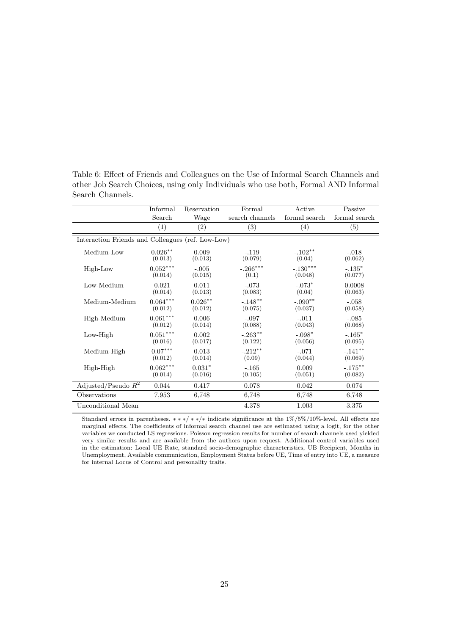|                                                   | Informal               | Reservation | Formal          | Active          | Passive       |  |  |  |
|---------------------------------------------------|------------------------|-------------|-----------------|-----------------|---------------|--|--|--|
|                                                   | Search                 | Wage        | search channels | formal search   | formal search |  |  |  |
|                                                   | (1)                    | (2)         | (3)             | (4)             | (5)           |  |  |  |
| Interaction Friends and Colleagues (ref. Low-Low) |                        |             |                 |                 |               |  |  |  |
| Medium-Low                                        | $0.026***$             | 0.009       | $-.119$         | $-.102**$       | $-.018$       |  |  |  |
|                                                   | (0.013)                | (0.013)     | (0.079)         | (0.04)          | (0.062)       |  |  |  |
| High-Low                                          | $0.052^{\ast\ast\ast}$ | $-.005$     | $-.266***$      | $-.130^{***}\,$ | $-.135*$      |  |  |  |
|                                                   | (0.014)                | (0.015)     | (0.1)           | (0.048)         | (0.077)       |  |  |  |
| Low-Medium                                        | 0.021                  | 0.011       | $-.073$         | $-.073*$        | 0.0008        |  |  |  |
|                                                   | (0.014)                | (0.013)     | (0.083)         | (0.04)          | (0.063)       |  |  |  |
| Medium-Medium                                     | $0.064***$             | $0.026***$  | $-.148***$      | $-.090**$       | $-.058$       |  |  |  |
|                                                   | (0.012)                | (0.012)     | (0.075)         | (0.037)         | (0.058)       |  |  |  |
| High-Medium                                       | $0.061***$             | 0.006       | $-.097$         | $-.011$         | $-.085$       |  |  |  |
|                                                   | (0.012)                | (0.014)     | (0.088)         | (0.043)         | (0.068)       |  |  |  |
| $Low-High$                                        | $0.051^{\ast\ast\ast}$ | 0.002       | $-.263**$       | $-.098*$        | $-.165*$      |  |  |  |
|                                                   | (0.016)                | (0.017)     | (0.122)         | (0.056)         | (0.095)       |  |  |  |
| Medium-High                                       | $0.07***$              | 0.013       | $-.212**$       | $-.071$         | $-.141**$     |  |  |  |
|                                                   | (0.012)                | (0.014)     | (0.09)          | (0.044)         | (0.069)       |  |  |  |
| High-High                                         | $0.062***$             | $0.031*$    | $-.165$         | 0.009           | $-.175***$    |  |  |  |
|                                                   | (0.014)                | (0.016)     | (0.105)         | (0.051)         | (0.082)       |  |  |  |
| Adjusted/Pseudo $R^2$                             | 0.044                  | 0.417       | 0.078           | 0.042           | 0.074         |  |  |  |
| Observations                                      | 7,953                  | 6,748       | 6,748           | 6,748           | 6,748         |  |  |  |
| Unconditional Mean                                |                        |             | 4.378           | 1.003           | 3.375         |  |  |  |

Table 6: Effect of Friends and Colleagues on the Use of Informal Search Channels and other Job Search Choices, using only Individuals who use both, Formal AND Informal Search Channels.

Standard errors in parentheses. ∗ ∗ ∗/ ∗ ∗/∗ indicate significance at the 1%/5%/10%-level. All effects are marginal effects. The coefficients of informal search channel use are estimated using a logit, for the other variables we conducted LS regressions. Poisson regression results for number of search channels used yielded very similar results and are available from the authors upon request. Additional control variables used in the estimation: Local UE Rate, standard socio-demographic characteristics, UB Recipient, Months in Unemployment, Available communication, Employment Status before UE, Time of entry into UE, a measure for internal Locus of Control and personality traits.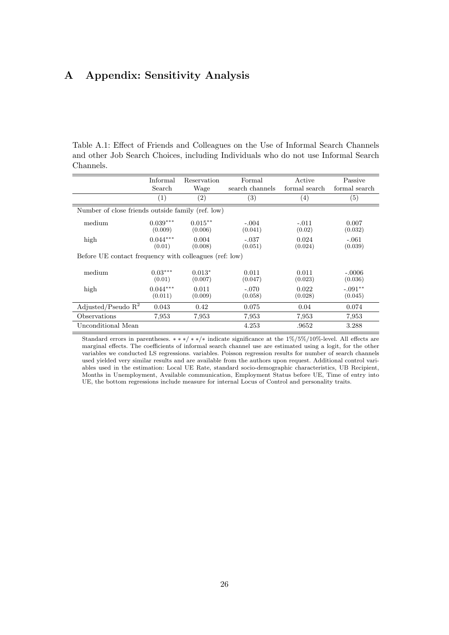# A Appendix: Sensitivity Analysis

Table A.1: Effect of Friends and Colleagues on the Use of Informal Search Channels and other Job Search Choices, including Individuals who do not use Informal Search Channels.

|                                                        | Informal              | Reservation           | Formal             | Active            | Passive               |  |  |
|--------------------------------------------------------|-----------------------|-----------------------|--------------------|-------------------|-----------------------|--|--|
|                                                        | Search                | Wage                  | search channels    | formal search     | formal search         |  |  |
|                                                        | $\left( 1\right)$     | $\left( 2\right)$     | (3)                | $\left(4\right)$  | (5)                   |  |  |
| Number of close friends outside family (ref. low)      |                       |                       |                    |                   |                       |  |  |
| medium                                                 | $0.039***$<br>(0.009) | $0.015***$<br>(0.006) | $-.004$<br>(0.041) | $-.011$<br>(0.02) | 0.007<br>(0.032)      |  |  |
| high                                                   | $0.044***$<br>(0.01)  | 0.004<br>(0.008)      | $-.037$<br>(0.051) | 0.024<br>(0.024)  | $-.061$<br>(0.039)    |  |  |
| Before UE contact frequency with colleagues (ref: low) |                       |                       |                    |                   |                       |  |  |
| medium                                                 | $0.03***$<br>(0.01)   | $0.013*$<br>(0.007)   | 0.011<br>(0.047)   | 0.011<br>(0.023)  | $-.0006$<br>(0.036)   |  |  |
| high                                                   | $0.044***$<br>(0.011) | 0.011<br>(0.009)      | $-.070$<br>(0.058) | 0.022<br>(0.028)  | $-.091***$<br>(0.045) |  |  |
| Adjusted/Pseudo $R^2$                                  | 0.043                 | 0.42                  | 0.075              | 0.04              | 0.074                 |  |  |
| Observations                                           | 7,953                 | 7.953                 | 7,953              | 7.953             | 7,953                 |  |  |
| Unconditional Mean-                                    |                       |                       | 4.253              | .9652             | 3.288                 |  |  |

Standard errors in parentheses. ∗ ∗ ∗/ ∗ ∗/∗ indicate significance at the 1%/5%/10%-level. All effects are marginal effects. The coefficients of informal search channel use are estimated using a logit, for the other variables we conducted LS regressions. variables. Poisson regression results for number of search channels used yielded very similar results and are available from the authors upon request. Additional control variables used in the estimation: Local UE Rate, standard socio-demographic characteristics, UB Recipient, Months in Unemployment, Available communication, Employment Status before UE, Time of entry into UE, the bottom regressions include measure for internal Locus of Control and personality traits.